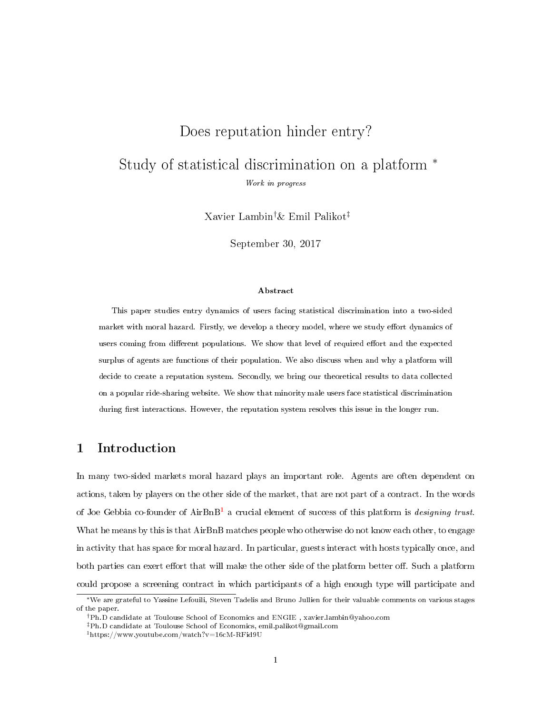# Does reputation hinder entry?

Study of statistical discrimination on a platform <sup>∗</sup> Work in progress

Xavier Lambin†& Emil Palikot‡

September 30, 2017

#### Abstract

This paper studies entry dynamics of users facing statistical discrimination into a two-sided market with moral hazard. Firstly, we develop a theory model, where we study effort dynamics of users coming from different populations. We show that level of required effort and the expected surplus of agents are functions of their population. We also discuss when and why a platform will decide to create a reputation system. Secondly, we bring our theoretical results to data collected on a popular ride-sharing website. We show that minority male users face statistical discrimination during first interactions. However, the reputation system resolves this issue in the longer run.

# 1 Introduction

In many two-sided markets moral hazard plays an important role. Agents are often dependent on actions, taken by players on the other side of the market, that are not part of a contract. In the words of Joe Gebbia co-founder of  $AirBnB<sup>1</sup>$  $AirBnB<sup>1</sup>$  $AirBnB<sup>1</sup>$  a crucial element of success of this platform is designing trust. What he means by this is that AirBnB matches people who otherwise do not know each other, to engage in activity that has space for moral hazard. In particular, guests interact with hosts typically once, and both parties can exert effort that will make the other side of the platform better off. Such a platform could propose a screening contract in which participants of a high enough type will participate and

<sup>∗</sup>We are grateful to Yassine Lefouili, Steven Tadelis and Bruno Jullien for their valuable comments on various stages of the paper.

<sup>†</sup>Ph.D candidate at Toulouse School of Economics and ENGIE , xavier.lambin@yahoo.com

<sup>‡</sup>Ph.D candidate at Toulouse School of Economics, emil.palikot@gmail.com

<span id="page-0-0"></span><sup>1</sup>https://www.youtube.com/watch?v=16cM-RFid9U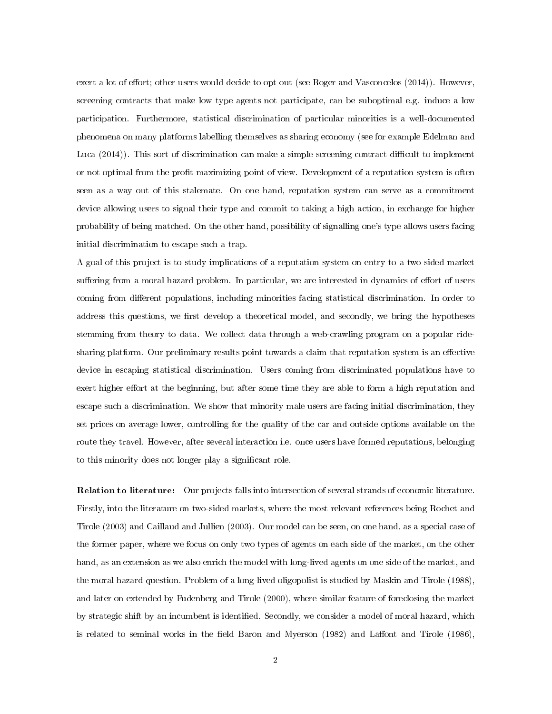exert a lot of effort; other users would decide to opt out (see [Roger and Vasconcelos](#page-33-0)  $(2014)$ ). However, screening contracts that make low type agents not participate, can be suboptimal e.g. induce a low participation. Furthermore, statistical discrimination of particular minorities is a well-documented phenomena on many platforms labelling themselves as sharing economy (see for example [Edelman and](#page-32-0) [Luca](#page-32-0)  $(2014)$ ). This sort of discrimination can make a simple screening contract difficult to implement or not optimal from the profit maximizing point of view. Development of a reputation system is often seen as a way out of this stalemate. On one hand, reputation system can serve as a commitment device allowing users to signal their type and commit to taking a high action, in exchange for higher probability of being matched. On the other hand, possibility of signalling one's type allows users facing initial discrimination to escape such a trap.

A goal of this project is to study implications of a reputation system on entry to a two-sided market suffering from a moral hazard problem. In particular, we are interested in dynamics of effort of users coming from different populations, including minorities facing statistical discrimination. In order to address this questions, we first develop a theoretical model, and secondly, we bring the hypotheses stemming from theory to data. We collect data through a web-crawling program on a popular ridesharing platform. Our preliminary results point towards a claim that reputation system is an effective device in escaping statistical discrimination. Users coming from discriminated populations have to exert higher effort at the beginning, but after some time they are able to form a high reputation and escape such a discrimination. We show that minority male users are facing initial discrimination, they set prices on average lower, controlling for the quality of the car and outside options available on the route they travel. However, after several interaction i.e. once users have formed reputations, belonging to this minority does not longer play a signicant role.

Relation to literature: Our projects falls into intersection of several strands of economic literature. Firstly, into the literature on two-sided markets, where the most relevant references being [Rochet and](#page-33-1) [Tirole](#page-33-1) [\(2003\)](#page-33-1) and [Caillaud and Jullien](#page-32-1) [\(2003\)](#page-32-1). Our model can be seen, on one hand, as a special case of the former paper, where we focus on only two types of agents on each side of the market, on the other hand, as an extension as we also enrich the model with long-lived agents on one side of the market, and the moral hazard question. Problem of a long-lived oligopolist is studied by [Maskin and Tirole](#page-33-2) [\(1988\)](#page-33-2), and later on extended by [Fudenberg and Tirole](#page-32-2) [\(2000\)](#page-32-2), where similar feature of foreclosing the market by strategic shift by an incumbent is identified. Secondly, we consider a model of moral hazard, which is related to seminal works in the field [Baron and Myerson](#page-32-3)  $(1982)$  and Laffont and Tirole  $(1986)$ ,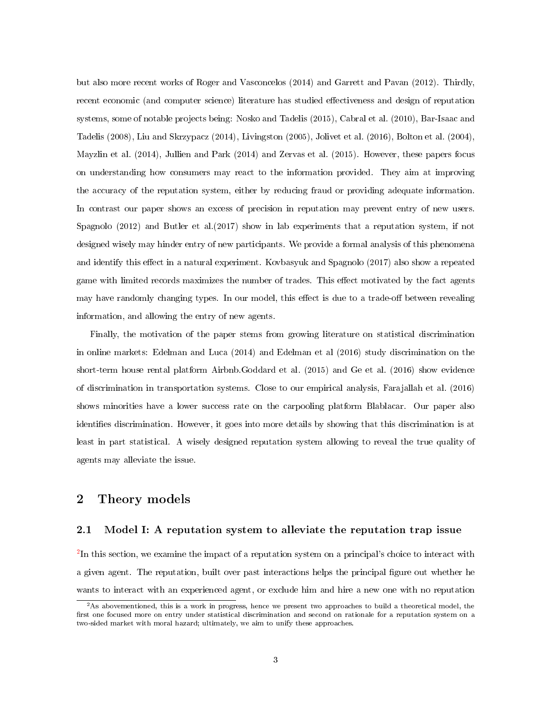but also more recent works of [Roger and Vasconcelos](#page-33-0) [\(2014\)](#page-33-0) and [Garrett and Pavan](#page-32-4) [\(2012\)](#page-32-4). Thirdly, recent economic (and computer science) literature has studied effectiveness and design of reputation systems, some of notable projects being: [Nosko and Tadelis](#page-33-4) [\(2015\)](#page-33-4), [Cabral et al.](#page-32-5) [\(2010\)](#page-32-5), [Bar-Isaac and](#page-32-6) [Tadelis](#page-32-6) [\(2008\)](#page-32-6), [Liu and Skrzypacz](#page-33-5) [\(2014\)](#page-33-5), [Livingston](#page-33-6) [\(2005\)](#page-33-6), [Jolivet et al.](#page-32-7) [\(2016\)](#page-32-7), [Bolton et al.](#page-32-8) [\(2004\)](#page-32-8), [Mayzlin et al.](#page-33-7) [\(2014\)](#page-33-7), [Jullien and Park](#page-32-9) [\(2014\)](#page-32-9) and [Zervas et al.](#page-33-8) [\(2015\)](#page-33-8). However, these papers focus on understanding how consumers may react to the information provided. They aim at improving the accuracy of the reputation system, either by reducing fraud or providing adequate information. In contrast our paper shows an excess of precision in reputation may prevent entry of new users. [Spagnolo](#page-33-9) [\(2012\)](#page-33-9) and Butler et al.(2017) show in lab experiments that a reputation system, if not designed wisely may hinder entry of new participants. We provide a formal analysis of this phenomena and identify this effect in a natural experiment. Kovbasyuk and Spagnolo (2017) also show a repeated game with limited records maximizes the number of trades. This effect motivated by the fact agents may have randomly changing types. In our model, this effect is due to a trade-off between revealing information, and allowing the entry of new agents.

Finally, the motivation of the paper stems from growing literature on statistical discrimination in online markets: [Edelman and Luca](#page-32-0) [\(2014\)](#page-32-0) and Edelman et al (2016) study discrimination on the short-term house rental platform Airbnb[.Goddard et al.](#page-32-10) [\(2015\)](#page-32-10) and [Ge et al.](#page-32-11) [\(2016\)](#page-32-11) show evidence of discrimination in transportation systems. Close to our empirical analysis, [Farajallah et al.](#page-32-12) [\(2016\)](#page-32-12) shows minorities have a lower success rate on the carpooling platform Blablacar. Our paper also identifies discrimination. However, it goes into more details by showing that this discrimination is at least in part statistical. A wisely designed reputation system allowing to reveal the true quality of agents may alleviate the issue.

### 2 Theory models

### 2.1 Model I: A reputation system to alleviate the reputation trap issue

 $2$ In this section, we examine the impact of a reputation system on a principal's choice to interact with a given agent. The reputation, built over past interactions helps the principal figure out whether he wants to interact with an experienced agent, or exclude him and hire a new one with no reputation

<span id="page-2-0"></span> $2$ As abovementioned, this is a work in progress, hence we present two approaches to build a theoretical model, the first one focused more on entry under statistical discrimination and second on rationale for a reputation system on a two-sided market with moral hazard; ultimately, we aim to unify these approaches.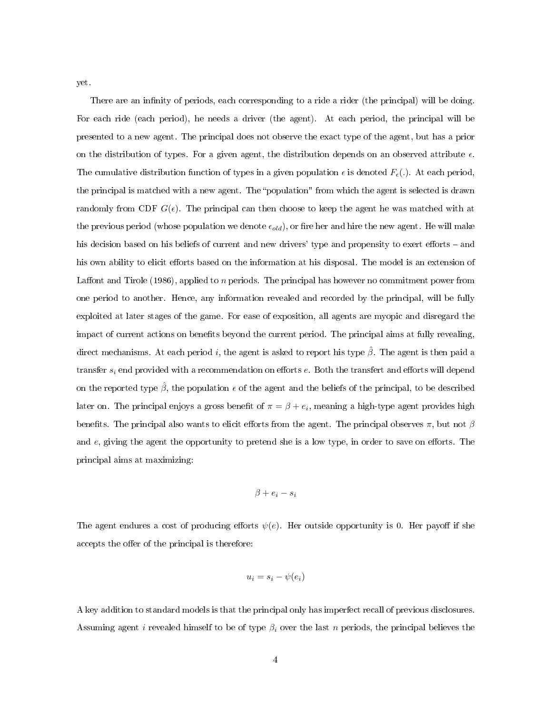yet.

There are an infinity of periods, each corresponding to a ride a rider (the principal) will be doing. For each ride (each period), he needs a driver (the agent). At each period, the principal will be presented to a new agent. The principal does not observe the exact type of the agent, but has a prior on the distribution of types. For a given agent, the distribution depends on an observed attribute  $\epsilon$ . The cumulative distribution function of types in a given population  $\epsilon$  is denoted  $F_{\epsilon}(.)$ . At each period, the principal is matched with a new agent. The "population" from which the agent is selected is drawn randomly from CDF  $G(\epsilon)$ . The principal can then choose to keep the agent he was matched with at the previous period (whose population we denote  $\epsilon_{old}$ ), or fire her and hire the new agent. He will make his decision based on his beliefs of current and new drivers' type and propensity to exert efforts – and his own ability to elicit efforts based on the information at his disposal. The model is an extension of Laffont and Tirole [\(1986\)](#page-33-3), applied to n periods. The principal has however no commitment power from one period to another. Hence, any information revealed and recorded by the principal, will be fully exploited at later stages of the game. For ease of exposition, all agents are myopic and disregard the impact of current actions on benefits beyond the current period. The principal aims at fully revealing, direct mechanisms. At each period i, the agent is asked to report his type  $\hat{\beta}$ . The agent is then paid a transfer  $s_i$  end provided with a recommendation on efforts  $e$ . Both the transfert and efforts will depend on the reported type  $\hat{\beta}$ , the population  $\epsilon$  of the agent and the beliefs of the principal, to be described later on. The principal enjoys a gross benefit of  $\pi = \beta + e_i$ , meaning a high-type agent provides high benefits. The principal also wants to elicit efforts from the agent. The principal observes  $\pi$ , but not  $\beta$ and  $e$ , giving the agent the opportunity to pretend she is a low type, in order to save on efforts. The principal aims at maximizing:

$$
\beta + e_i - s_i
$$

The agent endures a cost of producing efforts  $\psi(e)$ . Her outside opportunity is 0. Her payoff if she accepts the offer of the principal is therefore:

$$
u_i = s_i - \psi(e_i)
$$

A key addition to standard models is that the principal only has imperfect recall of previous disclosures. Assuming agent i revealed himself to be of type  $\beta_i$  over the last n periods, the principal believes the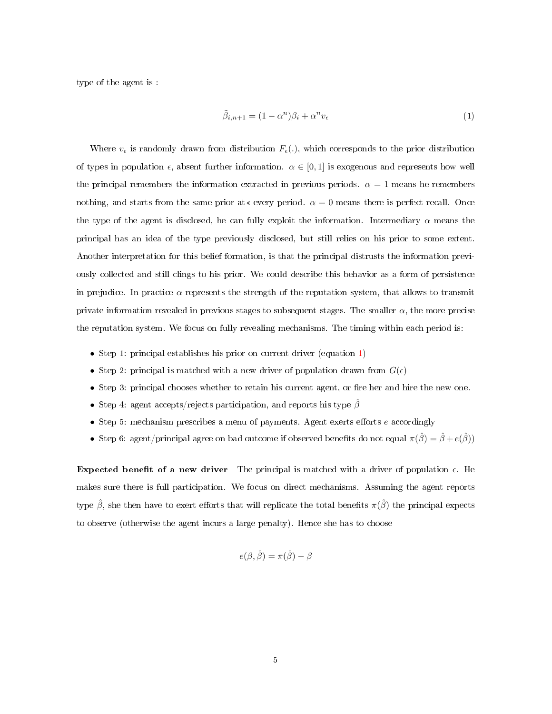type of the agent is :

<span id="page-4-0"></span>
$$
\tilde{\beta}_{i,n+1} = (1 - \alpha^n)\beta_i + \alpha^n v_\epsilon \tag{1}
$$

Where  $v_{\epsilon}$  is randomly drawn from distribution  $F_{\epsilon}$ ., which corresponds to the prior distribution of types in population  $\epsilon$ , absent further information.  $\alpha \in [0,1]$  is exogenous and represents how well the principal remembers the information extracted in previous periods.  $\alpha = 1$  means he remembers nothing, and starts from the same prior at  $\alpha$  every period.  $\alpha = 0$  means there is perfect recall. Once the type of the agent is disclosed, he can fully exploit the information. Intermediary  $\alpha$  means the principal has an idea of the type previously disclosed, but still relies on his prior to some extent. Another interpretation for this belief formation, is that the principal distrusts the information previously collected and still clings to his prior. We could describe this behavior as a form of persistence in prejudice. In practice  $\alpha$  represents the strength of the reputation system, that allows to transmit private information revealed in previous stages to subsequent stages. The smaller  $\alpha$ , the more precise the reputation system. We focus on fully revealing mechanisms. The timing within each period is:

- Step 1: principal establishes his prior on current driver (equation [1\)](#page-4-0)
- Step 2: principal is matched with a new driver of population drawn from  $G(\epsilon)$
- Step 3: principal chooses whether to retain his current agent, or fire her and hire the new one.
- Step 4: agent accepts/rejects participation, and reports his type  $\hat{\beta}$
- Step 5: mechanism prescribes a menu of payments. Agent exerts efforts  $e$  accordingly
- Step 6: agent/principal agree on bad outcome if observed benefits do not equal  $\pi(\hat{\beta}) = \hat{\beta} + e(\hat{\beta})$

<span id="page-4-1"></span>Expected benefit of a new driver The principal is matched with a driver of population  $\epsilon$ . He makes sure there is full participation. We focus on direct mechanisms. Assuming the agent reports type  $\hat{\beta}$ , she then have to exert efforts that will replicate the total benefits  $\pi(\hat{\beta})$  the principal expects to observe (otherwise the agent incurs a large penalty). Hence she has to choose

$$
e(\beta, \hat{\beta}) = \pi(\hat{\beta}) - \beta
$$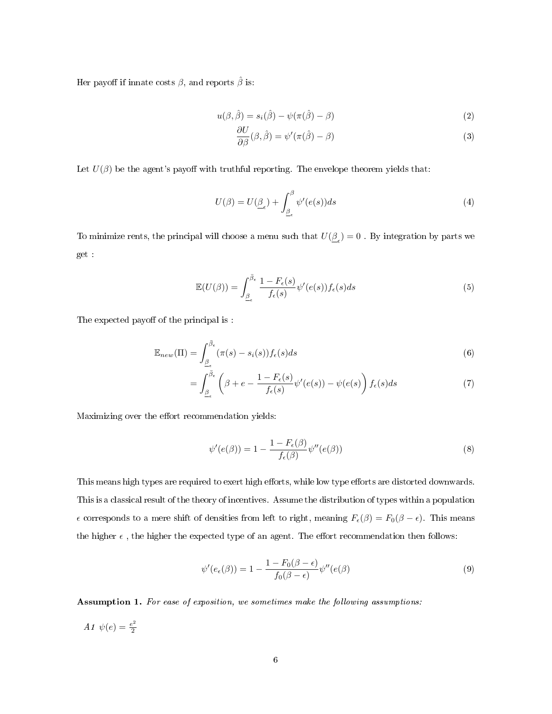Her payoff if innate costs  $\beta,$  and reports  $\hat{\beta}$  is:

$$
u(\beta, \hat{\beta}) = s_i(\hat{\beta}) - \psi(\pi(\hat{\beta}) - \beta)
$$
\n(2)

$$
\frac{\partial U}{\partial \beta}(\beta, \hat{\beta}) = \psi'(\pi(\hat{\beta}) - \beta)
$$
\n(3)

Let  $U(\beta)$  be the agent's payoff with truthful reporting. The envelope theorem yields that:

$$
U(\beta) = U(\underline{\beta}_{\epsilon}) + \int_{\underline{\beta}_{\epsilon}}^{\beta} \psi'(e(s))ds
$$
\n(4)

To minimize rents, the principal will choose a menu such that  $U(\underline{\beta}_{\epsilon}) = 0$  . By integration by parts we get :

$$
\mathbb{E}(U(\beta)) = \int_{\underline{\beta}_{\epsilon}}^{\overline{\beta}_{\epsilon}} \frac{1 - F_{\epsilon}(s)}{f_{\epsilon}(s)} \psi'(e(s)) f_{\epsilon}(s) ds \tag{5}
$$

The expected payoff of the principal is :

$$
\mathbb{E}_{new}(\Pi) = \int_{\underline{\beta}_{\epsilon}}^{\overline{\beta}_{\epsilon}} (\pi(s) - s_i(s)) f_{\epsilon}(s) ds \tag{6}
$$

$$
= \int_{\underline{\beta}_{\epsilon}}^{\overline{\beta}_{\epsilon}} \left( \beta + e - \frac{1 - F_{\epsilon}(s)}{f_{\epsilon}(s)} \psi'(e(s)) - \psi(e(s)) \right) f_{\epsilon}(s) ds \tag{7}
$$

Maximizing over the effort recommendation yields:

<span id="page-5-1"></span>
$$
\psi'(e(\beta)) = 1 - \frac{1 - F_{\epsilon}(\beta)}{f_{\epsilon}(\beta)} \psi''(e(\beta))
$$
\n(8)

This means high types are required to exert high efforts, while low type efforts are distorted downwards. This is a classical result of the theory of incentives. Assume the distribution of types within a population  $\epsilon$  corresponds to a mere shift of densities from left to right, meaning  $F_{\epsilon}(\beta) = F_0(\beta - \epsilon)$ . This means the higher  $\epsilon$ , the higher the expected type of an agent. The effort recommendation then follows:

<span id="page-5-2"></span>
$$
\psi'(e_{\epsilon}(\beta)) = 1 - \frac{1 - F_0(\beta - \epsilon)}{f_0(\beta - \epsilon)} \psi''(e(\beta))
$$
\n(9)

<span id="page-5-0"></span>Assumption 1. For ease of exposition, we sometimes make the following assumptions:

A1  $\psi(e) = \frac{e^2}{2}$ 2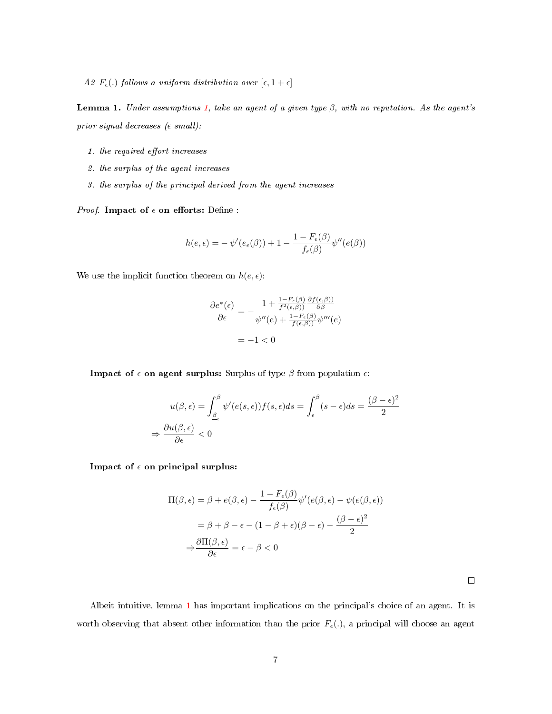A2  $F_{\epsilon}$ (.) follows a uniform distribution over  $[\epsilon, 1 + \epsilon]$ 

<span id="page-6-0"></span>**Lemma 1.** Under assumptions [1,](#page-5-0) take an agent of a given type  $\beta$ , with no reputation. As the agent's prior signal decreases ( $\epsilon$  small):

- 1. the required effort increases
- 2. the surplus of the agent increases
- 3. the surplus of the principal derived from the agent increases

*Proof.* Impact of  $\epsilon$  on efforts: Define :

$$
h(e,\epsilon) = -\psi'(e_{\epsilon}(\beta)) + 1 - \frac{1 - F_{\epsilon}(\beta)}{f_{\epsilon}(\beta)}\psi''(e(\beta))
$$

We use the implicit function theorem on  $h(e, \epsilon)$ :

$$
\frac{\partial e^*(\epsilon)}{\partial \epsilon} = -\frac{1 + \frac{1 - F_{\epsilon}(\beta)}{f^2(\epsilon, \beta))} \frac{\partial f(\epsilon, \beta))}{\partial \beta}}{\psi''(\epsilon) + \frac{1 - F_{\epsilon}(\beta)}{f(\epsilon, \beta))} \psi'''(\epsilon)}
$$

$$
= -1 < 0
$$

**Impact of**  $\epsilon$  **on agent surplus:** Surplus of type  $\beta$  from population  $\epsilon$ :

$$
u(\beta, \epsilon) = \int_{\underline{\beta}_{\epsilon}}^{\beta} \psi'(e(s, \epsilon)) f(s, \epsilon) ds = \int_{\epsilon}^{\beta} (s - \epsilon) ds = \frac{(\beta - \epsilon)^2}{2}
$$

$$
\Rightarrow \frac{\partial u(\beta, \epsilon)}{\partial \epsilon} < 0
$$

Impact of  $\epsilon$  on principal surplus:

$$
\Pi(\beta, \epsilon) = \beta + e(\beta, \epsilon) - \frac{1 - F_{\epsilon}(\beta)}{f_{\epsilon}(\beta)} \psi'(e(\beta, \epsilon) - \psi(e(\beta, \epsilon))
$$

$$
= \beta + \beta - \epsilon - (1 - \beta + \epsilon)(\beta - \epsilon) - \frac{(\beta - \epsilon)^2}{2}
$$

$$
\Rightarrow \frac{\partial \Pi(\beta, \epsilon)}{\partial \epsilon} = \epsilon - \beta < 0
$$

Albeit intuitive, lemma [1](#page-6-0) has important implications on the principal's choice of an agent. It is worth observing that absent other information than the prior  $F_{\epsilon}(.)$ , a principal will choose an agent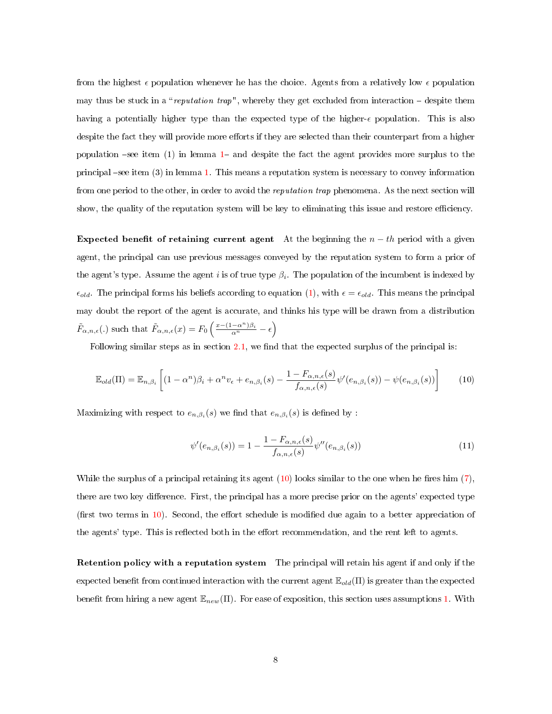from the highest  $\epsilon$  population whenever he has the choice. Agents from a relatively low  $\epsilon$  population may thus be stuck in a "reputation trap", whereby they get excluded from interaction  $-$  despite them having a potentially higher type than the expected type of the higher- $\epsilon$  population. This is also despite the fact they will provide more efforts if they are selected than their counterpart from a higher population -see item ([1](#page-6-0)) in lemma 1- and despite the fact the agent provides more surplus to the principal see item (3) in lemma [1.](#page-6-0) This means a reputation system is necessary to convey information from one period to the other, in order to avoid the reputation trap phenomena. As the next section will show, the quality of the reputation system will be key to eliminating this issue and restore efficiency.

Expected benefit of retaining current agent At the beginning the  $n - th$  period with a given agent, the principal can use previous messages conveyed by the reputation system to form a prior of the agent's type. Assume the agent  $i$  is of true type  $\beta_i$ . The population of the incumbent is indexed by  $\epsilon_{old}$ . The principal forms his beliefs according to equation [\(1\)](#page-4-0), with  $\epsilon = \epsilon_{old}$ . This means the principal may doubt the report of the agent is accurate, and thinks his type will be drawn from a distribution  $\tilde{F}_{\alpha,n,\epsilon}(.)$  such that  $\tilde{F}_{\alpha,n,\epsilon}(x) = F_0 \left( \frac{x - (1 - \alpha^n)\beta_i}{\alpha^n} - \epsilon \right)$ 

Following similar steps as in section  $2.1$ , we find that the expected surplus of the principal is:

$$
\mathbb{E}_{old}(\Pi) = \mathbb{E}_{n,\beta_i} \left[ (1 - \alpha^n)\beta_i + \alpha^n v_{\epsilon} + e_{n,\beta_i}(s) - \frac{1 - F_{\alpha,n,\epsilon}(s)}{f_{\alpha,n,\epsilon}(s)} \psi'(e_{n,\beta_i}(s)) - \psi(e_{n,\beta_i}(s)) \right]
$$
(10)

Maximizing with respect to  $e_{n,\beta_i}(s)$  we find that  $e_{n,\beta_i}(s)$  is defined by :

<span id="page-7-0"></span>
$$
\psi'(e_{n,\beta_i}(s)) = 1 - \frac{1 - F_{\alpha,n,\epsilon}(s)}{f_{\alpha,n,\epsilon}(s)} \psi''(e_{n,\beta_i}(s))
$$
\n(11)

While the surplus of a principal retaining its agent  $(10)$  looks similar to the one when he fires him  $(7)$ , there are two key difference. First, the principal has a more precise prior on the agents' expected type (first two terms in  $10$ ). Second, the effort schedule is modified due again to a better appreciation of the agents' type. This is reflected both in the effort recommendation, and the rent left to agents.

Retention policy with a reputation system The principal will retain his agent if and only if the expected benefit from continued interaction with the current agent  $\mathbb{E}_{old}(\Pi)$  is greater than the expected benefit from hiring a new agent  $\mathbb{E}_{new}(\Pi)$ . For ease of exposition, this section uses assumptions [1.](#page-5-0) With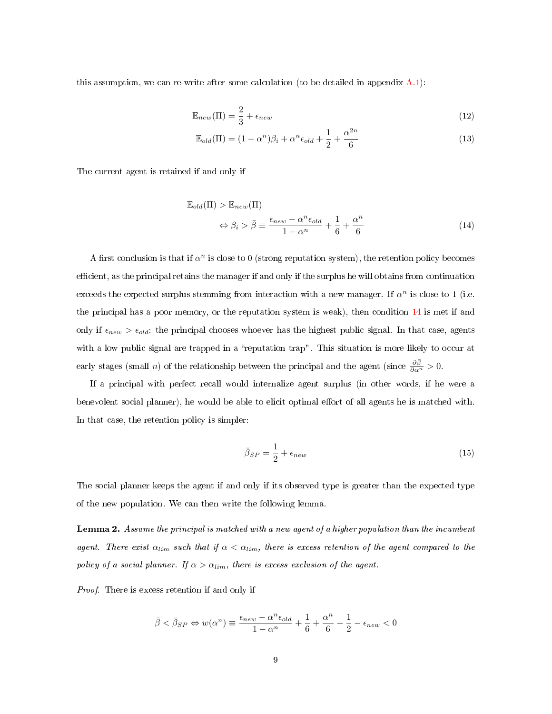this assumption, we can re-write after some calculation (to be detailed in appendix [A.1\)](#page-34-0):

$$
\mathbb{E}_{new}(\Pi) = \frac{2}{3} + \epsilon_{new} \tag{12}
$$

<span id="page-8-2"></span><span id="page-8-1"></span>
$$
\mathbb{E}_{old}(\Pi) = (1 - \alpha^n)\beta_i + \alpha^n \epsilon_{old} + \frac{1}{2} + \frac{\alpha^{2n}}{6}
$$
\n(13)

The current agent is retained if and only if

<span id="page-8-0"></span>
$$
\mathbb{E}_{old}(\Pi) > \mathbb{E}_{new}(\Pi)
$$
  
\n
$$
\Leftrightarrow \beta_i > \bar{\beta} \equiv \frac{\epsilon_{new} - \alpha^n \epsilon_{old}}{1 - \alpha^n} + \frac{1}{6} + \frac{\alpha^n}{6}
$$
 (14)

A first conclusion is that if  $\alpha^n$  is close to 0 (strong reputation system), the retention policy becomes efficient, as the principal retains the manager if and only if the surplus he will obtains from continuation exceeds the expected surplus stemming from interaction with a new manager. If  $\alpha^n$  is close to 1 (i.e. the principal has a poor memory, or the reputation system is weak), then condition [14](#page-8-0) is met if and only if  $\epsilon_{new} > \epsilon_{old}$ : the principal chooses whoever has the highest public signal. In that case, agents with a low public signal are trapped in a "reputation trap". This situation is more likely to occur at early stages (small *n*) of the relationship between the principal and the agent (since  $\frac{\partial \bar{\beta}}{\partial \alpha^n} > 0$ .

If a principal with perfect recall would internalize agent surplus (in other words, if he were a benevolent social planner), he would be able to elicit optimal effort of all agents he is matched with. In that case, the retention policy is simpler:

<span id="page-8-3"></span>
$$
\bar{\beta}_{SP} = \frac{1}{2} + \epsilon_{new} \tag{15}
$$

The social planner keeps the agent if and only if its observed type is greater than the expected type of the new population. We can then write the following lemma.

Lemma 2. Assume the principal is matched with a new agent of a higher population than the incumbent agent. There exist  $\alpha_{lim}$  such that if  $\alpha < \alpha_{lim}$ , there is excess retention of the agent compared to the policy of a social planner. If  $\alpha > \alpha_{lim}$ , there is excess exclusion of the agent.

Proof. There is excess retention if and only if

$$
\bar{\beta}<\bar{\beta}_{SP}\Leftrightarrow w(\alpha^n)\equiv\frac{\epsilon_{new}-\alpha^n\epsilon_{old}}{1-\alpha^n}+\frac{1}{6}+\frac{\alpha^n}{6}-\frac{1}{2}-\epsilon_{new}<0
$$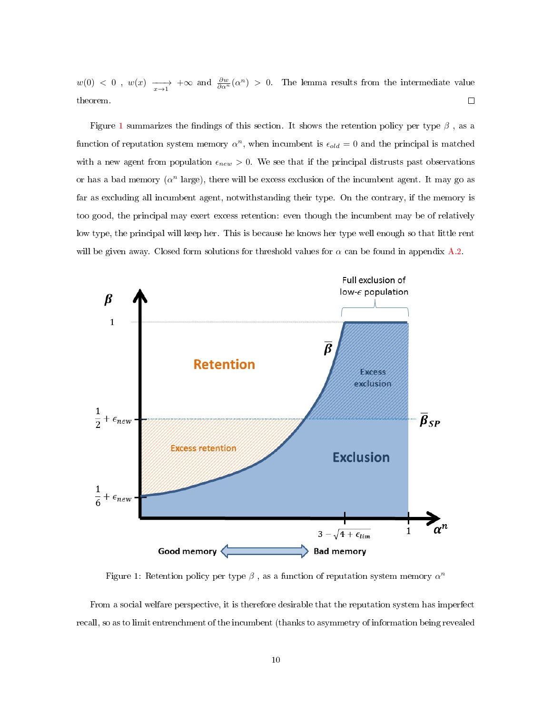$w(0) < 0$ ,  $w(x) \longrightarrow_{x \to 1} +\infty$  and  $\frac{\partial w}{\partial \alpha^n}(\alpha^n) > 0$ . The lemma results from the intermediate value theorem.  $\Box$ 

Figure [1](#page-9-0) summarizes the findings of this section. It shows the retention policy per type  $\beta$ , as a function of reputation system memory  $\alpha^n$ , when incumbent is  $\epsilon_{old} = 0$  and the principal is matched with a new agent from population  $\epsilon_{new} > 0$ . We see that if the principal distrusts past observations or has a bad memory  $(\alpha^n \text{ large})$ , there will be excess exclusion of the incumbent agent. It may go as far as excluding all incumbent agent, notwithstanding their type. On the contrary, if the memory is too good, the principal may exert excess retention: even though the incumbent may be of relatively low type, the principal will keep her. This is because he knows her type well enough so that little rent will be given away. Closed form solutions for threshold values for  $\alpha$  can be found in appendix [A.2.](#page-35-0)



<span id="page-9-0"></span>Figure 1: Retention policy per type  $\beta$  , as a function of reputation system memory  $\alpha^n$ 

From a social welfare perspective, it is therefore desirable that the reputation system has imperfect recall, so as to limit entrenchment of the incumbent (thanks to asymmetry of information being revealed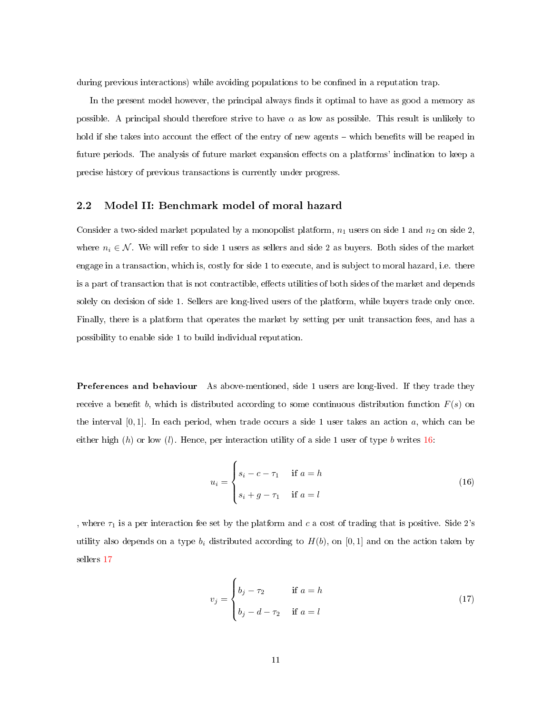during previous interactions) while avoiding populations to be confined in a reputation trap.

In the present model however, the principal always finds it optimal to have as good a memory as possible. A principal should therefore strive to have  $\alpha$  as low as possible. This result is unlikely to hold if she takes into account the effect of the entry of new agents – which benefits will be reaped in future periods. The analysis of future market expansion effects on a platforms' inclination to keep a precise history of previous transactions is currently under progress.

#### 2.2 Model II: Benchmark model of moral hazard

Consider a two-sided market populated by a monopolist platform,  $n_1$  users on side 1 and  $n_2$  on side 2, where  $n_i \in \mathcal{N}$ . We will refer to side 1 users as sellers and side 2 as buyers. Both sides of the market engage in a transaction, which is, costly for side 1 to execute, and is subject to moral hazard, i.e. there is a part of transaction that is not contractible, effects utilities of both sides of the market and depends solely on decision of side 1. Sellers are long-lived users of the platform, while buyers trade only once. Finally, there is a platform that operates the market by setting per unit transaction fees, and has a possibility to enable side 1 to build individual reputation.

Preferences and behaviour As above-mentioned, side 1 users are long-lived. If they trade they receive a benefit b, which is distributed according to some continuous distribution function  $F(s)$  on the interval  $[0, 1]$ . In each period, when trade occurs a side 1 user takes an action a, which can be either high  $(h)$  or low  $(l)$ . Hence, per interaction utility of a side 1 user of type b writes [16](#page-10-0):

<span id="page-10-0"></span>
$$
u_i = \begin{cases} s_i - c - \tau_1 & \text{if } a = h \\ s_i + g - \tau_1 & \text{if } a = l \end{cases} \tag{16}
$$

, where  $\tau_1$  is a per interaction fee set by the platform and c a cost of trading that is positive. Side 2's utility also depends on a type  $b_i$  distributed according to  $H(b)$ , on [0, 1] and on the action taken by sellers [17](#page-10-1)

<span id="page-10-1"></span>
$$
v_j = \begin{cases} b_j - \tau_2 & \text{if } a = h \\ b_j - d - \tau_2 & \text{if } a = l \end{cases} \tag{17}
$$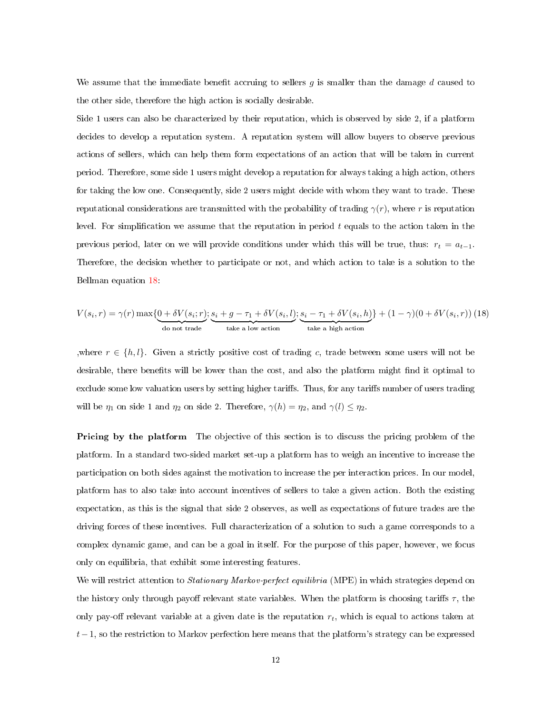We assume that the immediate benefit accruing to sellers  $q$  is smaller than the damage  $d$  caused to the other side, therefore the high action is socially desirable.

Side 1 users can also be characterized by their reputation, which is observed by side 2, if a platform decides to develop a reputation system. A reputation system will allow buyers to observe previous actions of sellers, which can help them form expectations of an action that will be taken in current period. Therefore, some side 1 users might develop a reputation for always taking a high action, others for taking the low one. Consequently, side 2 users might decide with whom they want to trade. These reputational considerations are transmitted with the probability of trading  $\gamma(r)$ , where r is reputation level. For simplification we assume that the reputation in period  $t$  equals to the action taken in the previous period, later on we will provide conditions under which this will be true, thus:  $r_t = a_{t-1}$ . Therefore, the decision whether to participate or not, and which action to take is a solution to the Bellman equation [18](#page-11-0):

<span id="page-11-0"></span>
$$
V(s_i, r) = \gamma(r) \max\{\underbrace{0 + \delta V(s_i; r)}_{\text{do not trade}}; \underbrace{s_i + g - \tau_1 + \delta V(s_i, l)}_{\text{take a low action}}; \underbrace{s_i - \tau_1 + \delta V(s_i, h)}_{\text{take a high action}}\} + (1 - \gamma)(0 + \delta V(s_i, r)) \tag{18}
$$

,where  $r \in \{h, l\}$ . Given a strictly positive cost of trading c, trade between some users will not be desirable, there benefits will be lower than the cost, and also the platform might find it optimal to exclude some low valuation users by setting higher tariffs. Thus, for any tariffs number of users trading will be  $\eta_1$  on side 1 and  $\eta_2$  on side 2. Therefore,  $\gamma(h) = \eta_2$ , and  $\gamma(l) \leq \eta_2$ .

Pricing by the platform The objective of this section is to discuss the pricing problem of the platform. In a standard two-sided market set-up a platform has to weigh an incentive to increase the participation on both sides against the motivation to increase the per interaction prices. In our model, platform has to also take into account incentives of sellers to take a given action. Both the existing expectation, as this is the signal that side 2 observes, as well as expectations of future trades are the driving forces of these incentives. Full characterization of a solution to such a game corresponds to a complex dynamic game, and can be a goal in itself. For the purpose of this paper, however, we focus only on equilibria, that exhibit some interesting features.

We will restrict attention to *Stationary Markov-perfect equilibria* (MPE) in which strategies depend on the history only through payoff relevant state variables. When the platform is choosing tariffs  $\tau$ , the only pay-off relevant variable at a given date is the reputation  $r_t$ , which is equal to actions taken at  $t-1$ , so the restriction to Markov perfection here means that the platform's strategy can be expressed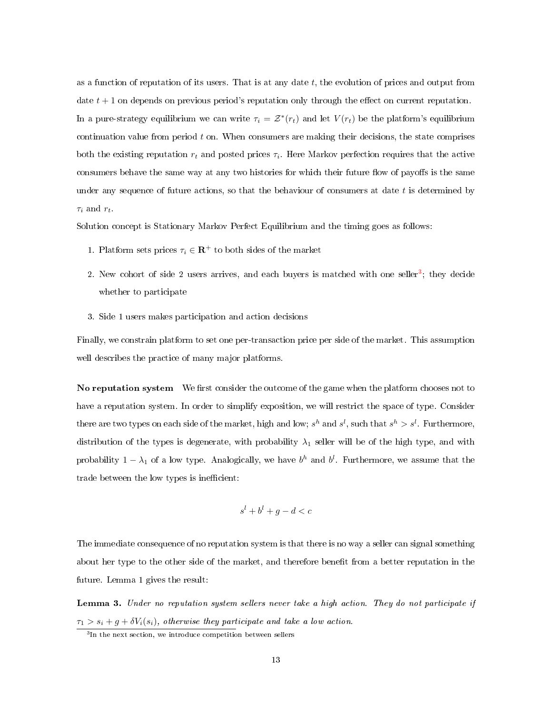as a function of reputation of its users. That is at any date  $t$ , the evolution of prices and output from date  $t + 1$  on depends on previous period's reputation only through the effect on current reputation. In a pure-strategy equilibrium we can write  $\tau_i = \mathcal{Z}^*(r_t)$  and let  $V(r_t)$  be the platform's equilibrium continuation value from period  $t$  on. When consumers are making their decisions, the state comprises both the existing reputation  $r_t$  and posted prices  $\tau_i$ . Here Markov perfection requires that the active consumers behave the same way at any two histories for which their future flow of payoffs is the same under any sequence of future actions, so that the behaviour of consumers at date  $t$  is determined by  $\tau_i$  and  $r_t$ .

Solution concept is Stationary Markov Perfect Equilibrium and the timing goes as follows:

- 1. Platform sets prices  $\tau_i \in \mathbb{R}^+$  to both sides of the market
- 2. New cohort of side 2 users arrives, and each buyers is matched with one seller<sup>[3](#page-12-0)</sup>; they decide whether to participate
- 3. Side 1 users makes participation and action decisions

Finally, we constrain platform to set one per-transaction price per side of the market. This assumption well describes the practice of many major platforms.

No reputation system We first consider the outcome of the game when the platform chooses not to have a reputation system. In order to simplify exposition, we will restrict the space of type. Consider there are two types on each side of the market, high and low;  $s^h$  and  $s^l$ , such that  $s^h > s^l$ . Furthermore, distribution of the types is degenerate, with probability  $\lambda_1$  seller will be of the high type, and with probability  $1 - \lambda_1$  of a low type. Analogically, we have  $b^h$  and  $b^l$ . Furthermore, we assume that the trade between the low types is inefficient:

$$
s^l + b^l + g - d < c
$$

The immediate consequence of no reputation system is that there is no way a seller can signal something about her type to the other side of the market, and therefore benefit from a better reputation in the future. Lemma 1 gives the result:

Lemma 3. Under no reputation system sellers never take a high action. They do not participate if  $\tau_1 > s_i + g + \delta V_i(s_i)$ , otherwise they participate and take a low action.

<span id="page-12-0"></span><sup>&</sup>lt;sup>3</sup>In the next section, we introduce competition between sellers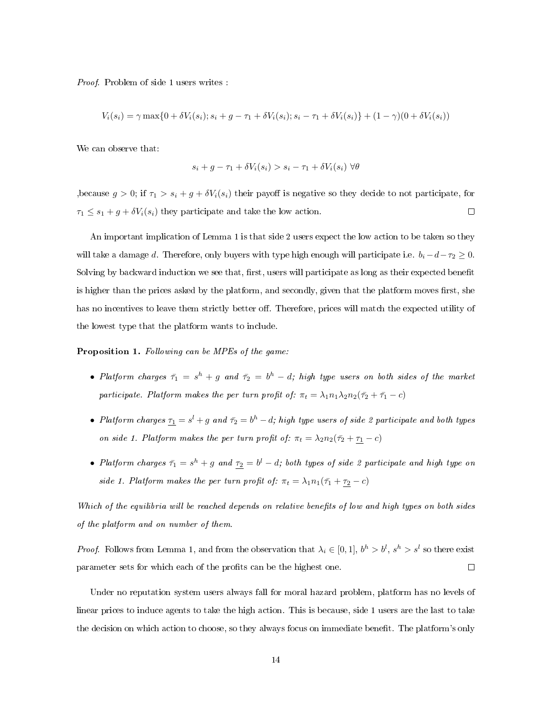Proof. Problem of side 1 users writes :

$$
V_i(s_i) = \gamma \max\{0 + \delta V_i(s_i); s_i + g - \tau_1 + \delta V_i(s_i); s_i - \tau_1 + \delta V_i(s_i)\} + (1 - \gamma)(0 + \delta V_i(s_i))
$$

We can observe that:

$$
s_i + g - \tau_1 + \delta V_i(s_i) > s_i - \tau_1 + \delta V_i(s_i) \,\forall \theta
$$

,because  $g > 0$ ; if  $\tau_1 > s_i + g + \delta V_i(s_i)$  their payoff is negative so they decide to not participate, for  $\tau_1 \leq s_1 + g + \delta V_i(s_i)$  they participate and take the low action.  $\Box$ 

An important implication of Lemma 1 is that side 2 users expect the low action to be taken so they will take a damage d. Therefore, only buyers with type high enough will participate i.e.  $b_i - d - \tau_2 \geq 0$ . Solving by backward induction we see that, first, users will participate as long as their expected benefit is higher than the prices asked by the platform, and secondly, given that the platform moves first, she has no incentives to leave them strictly better off. Therefore, prices will match the expected utility of the lowest type that the platform wants to include.

Proposition 1. Following can be MPEs of the game:

- Platform charges  $\bar{\tau}_1 = s^h + g$  and  $\bar{\tau}_2 = b^h d$ ; high type users on both sides of the market participate. Platform makes the per turn profit of:  $\pi_t = \lambda_1 n_1 \lambda_2 n_2 (\bar{\tau}_2 + \bar{\tau}_1 - c)$
- Platform charges  $\tau_1 = s^l + g$  and  $\bar{\tau_2} = b^h d$ ; high type users of side 2 participate and both types on side 1. Platform makes the per turn profit of:  $\pi_t = \lambda_2 n_2(\bar{\tau}_2 + \underline{\tau}_1 - c)$
- Platform charges  $\bar{\tau_1} = s^h + g$  and  $\tau_2 = b^l d$ ; both types of side 2 participate and high type on side 1. Platform makes the per turn profit of:  $\pi_t = \lambda_1 n_1(\bar{\tau}_1 + \bar{\tau}_2 - c)$

Which of the equilibria will be reached depends on relative benefits of low and high types on both sides of the platform and on number of them.

*Proof.* Follows from Lemma 1, and from the observation that  $\lambda_i \in [0,1]$ ,  $b^h > b^l$ ,  $s^h > s^l$  so there exist parameter sets for which each of the profits can be the highest one.  $\Box$ 

Under no reputation system users always fall for moral hazard problem, platform has no levels of linear prices to induce agents to take the high action. This is because, side 1 users are the last to take the decision on which action to choose, so they always focus on immediate benefit. The platform's only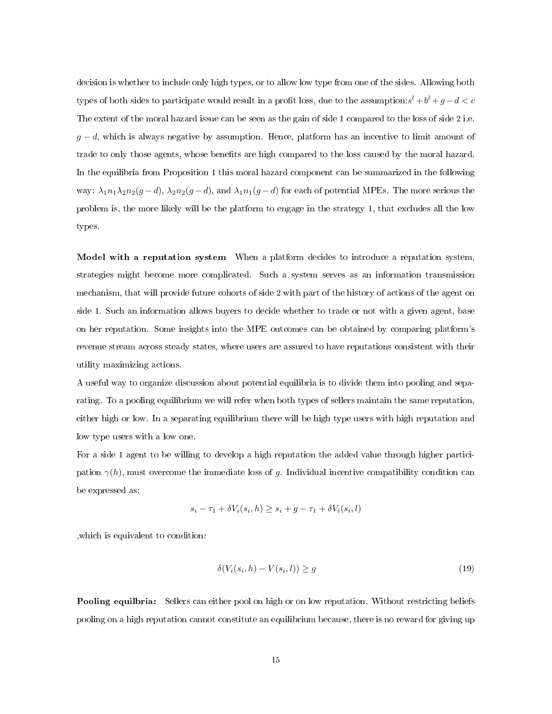decision is whether to include only high types, or to allow low type from one of the sides. Allowing both types of both sides to participate would result in a profit loss, due to the assumption: $s^l + b^l + g - d < c$ The extent of the moral hazard issue can be seen as the gain of side 1 compared to the loss of side 2 i.e.  $g - d$ , which is always negative by assumption. Hence, platform has an incentive to limit amount of trade to only those agents, whose benefits are high compared to the loss caused by the moral hazard. In the equilibria from Proposition 1 this moral hazard component can be summarized in the following way:  $\lambda_1 n_1 \lambda_2 n_2(g-d)$ ,  $\lambda_2 n_2(g-d)$ , and  $\lambda_1 n_1(g-d)$  for each of potential MPEs. The more serious the problem is, the more likely will be the platform to engage in the strategy 1, that excludes all the low types.

Model with a reputation system When a platform decides to introduce a reputation system, strategies might become more complicated. Such a system serves as an information transmission mechanism, that will provide future cohorts of side 2 with part of the history of actions of the agent on side 1. Such an information allows buyers to decide whether to trade or not with a given agent, base on her reputation. Some insights into the MPE outcomes can be obtained by comparing platform's revenue stream across steady states, where users are assured to have reputations consistent with their utility maximizing actions.

A useful way to organize discussion about potential equilibria is to divide them into pooling and separating. To a pooling equilibrium we will refer when both types of sellers maintain the same reputation, either high or low. In a separating equilibrium there will be high type users with high reputation and low type users with a low one.

For a side 1 agent to be willing to develop a high reputation the added value through higher participation  $\gamma(h)$ , must overcome the immediate loss of g. Individual incentive compatibility condition can be expressed as:

$$
s_i - \tau_1 + \delta V_i(s_i, h) \ge s_i + g - \tau_1 + \delta V_i(s_i, l)
$$

,which is equivalent to condition:

<span id="page-14-0"></span>
$$
\delta(V_i(s_i, h) - V(s_i, l)) \ge g \tag{19}
$$

Pooling equilbria: Sellers can either pool on high or on low reputation. Without restricting beliefs pooling on a high reputation cannot constitute an equilibrium because, there is no reward for giving up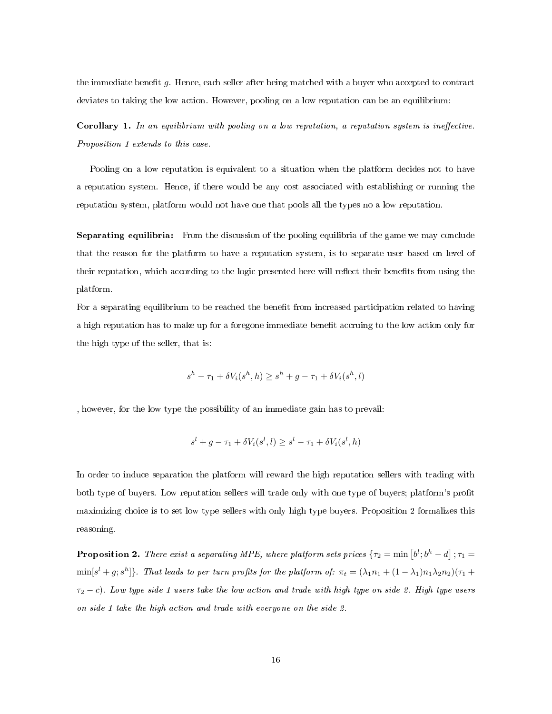the immediate benefit  $g$ . Hence, each seller after being matched with a buyer who accepted to contract deviates to taking the low action. However, pooling on a low reputation can be an equilibrium:

**Corollary 1.** In an equilibrium with pooling on a low reputation, a reputation system is ineffective. Proposition 1 extends to this case.

Pooling on a low reputation is equivalent to a situation when the platform decides not to have a reputation system. Hence, if there would be any cost associated with establishing or running the reputation system, platform would not have one that pools all the types no a low reputation.

Separating equilibria: From the discussion of the pooling equilibria of the game we may conclude that the reason for the platform to have a reputation system, is to separate user based on level of their reputation, which according to the logic presented here will reflect their benefits from using the platform.

For a separating equilibrium to be reached the benefit from increased participation related to having a high reputation has to make up for a foregone immediate benefit accruing to the low action only for the high type of the seller, that is:

$$
s^h - \tau_1 + \delta V_i(s^h, h) \ge s^h + g - \tau_1 + \delta V_i(s^h, l)
$$

, however, for the low type the possibility of an immediate gain has to prevail:

$$
sl + g - \tau_1 + \delta V_i(sl, l) \ge sl - \tau_1 + \delta V_i(sl, h)
$$

In order to induce separation the platform will reward the high reputation sellers with trading with both type of buyers. Low reputation sellers will trade only with one type of buyers; platform's profit maximizing choice is to set low type sellers with only high type buyers. Proposition 2 formalizes this reasoning.

**Proposition 2.** There exist a separating MPE, where platform sets prices  $\{\tau_2 = \min[b^l; b^h - d] \}$ ;  $\tau_1 =$  $\min[s^l+g;s^h]\}.$  That leads to per turn profits for the platform of:  $\pi_t=(\lambda_1n_1+(1-\lambda_1)n_1\lambda_2n_2)(\tau_1+\tau_2)$  $\tau_2 - c$ ). Low type side 1 users take the low action and trade with high type on side 2. High type users on side 1 take the high action and trade with everyone on the side 2.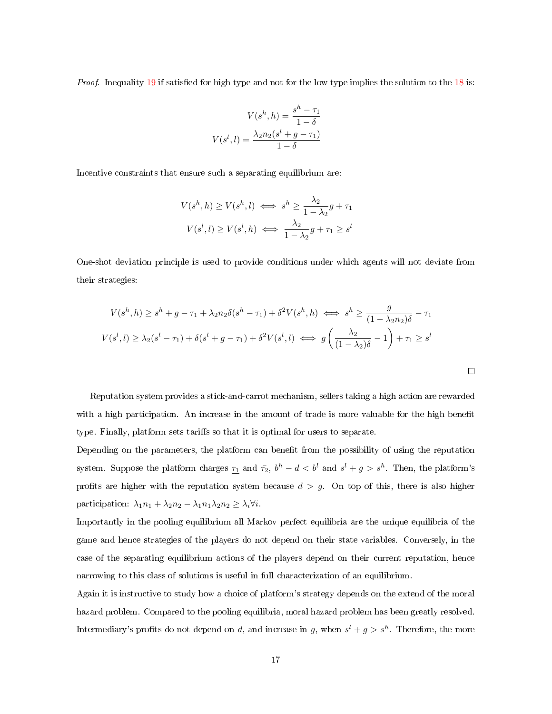Proof. Inequality [19](#page-14-0) if satisfied for high type and not for the low type implies the solution to the [18](#page-11-0) is:

<span id="page-16-0"></span>
$$
V(s^h, h) = \frac{s^h - \tau_1}{1 - \delta}
$$

$$
V(s^l, l) = \frac{\lambda_2 n_2 (s^l + g - \tau_1)}{1 - \delta}
$$

Incentive constraints that ensure such a separating equilibrium are:

$$
V(s^h, h) \ge V(s^h, l) \iff s^h \ge \frac{\lambda_2}{1 - \lambda_2} g + \tau_1
$$

$$
V(s^l, l) \ge V(s^l, h) \iff \frac{\lambda_2}{1 - \lambda_2} g + \tau_1 \ge s^l
$$

One-shot deviation principle is used to provide conditions under which agents will not deviate from their strategies:

$$
V(s^h, h) \ge s^h + g - \tau_1 + \lambda_2 n_2 \delta(s^h - \tau_1) + \delta^2 V(s^h, h) \iff s^h \ge \frac{g}{(1 - \lambda_2 n_2)\delta} - \tau_1
$$
  

$$
V(s^l, l) \ge \lambda_2 (s^l - \tau_1) + \delta(s^l + g - \tau_1) + \delta^2 V(s^l, l) \iff g\left(\frac{\lambda_2}{(1 - \lambda_2)\delta} - 1\right) + \tau_1 \ge s^l
$$

Reputation system provides a stick-and-carrot mechanism, sellers taking a high action are rewarded with a high participation. An increase in the amount of trade is more valuable for the high benefit type. Finally, platform sets tariffs so that it is optimal for users to separate.

 $\Box$ 

Depending on the parameters, the platform can benefit from the possibility of using the reputation system. Suppose the platform charges  $\tau_1$  and  $\bar{\tau_2}$ ,  $b^h - d < b^l$  and  $s^l + g > s^h$ . Then, the platform's profits are higher with the reputation system because  $d > g$ . On top of this, there is also higher participation:  $\lambda_1 n_1 + \lambda_2 n_2 - \lambda_1 n_1 \lambda_2 n_2 \geq \lambda_i \forall i$ .

Importantly in the pooling equilibrium all Markov perfect equilibria are the unique equilibria of the game and hence strategies of the players do not depend on their state variables. Conversely, in the case of the separating equilibrium actions of the players depend on their current reputation, hence narrowing to this class of solutions is useful in full characterization of an equilibrium.

Again it is instructive to study how a choice of platform's strategy depends on the extend of the moral hazard problem. Compared to the pooling equilibria, moral hazard problem has been greatly resolved. Intermediary's profits do not depend on d, and increase in g, when  $s^{l} + g > s^{h}$ . Therefore, the more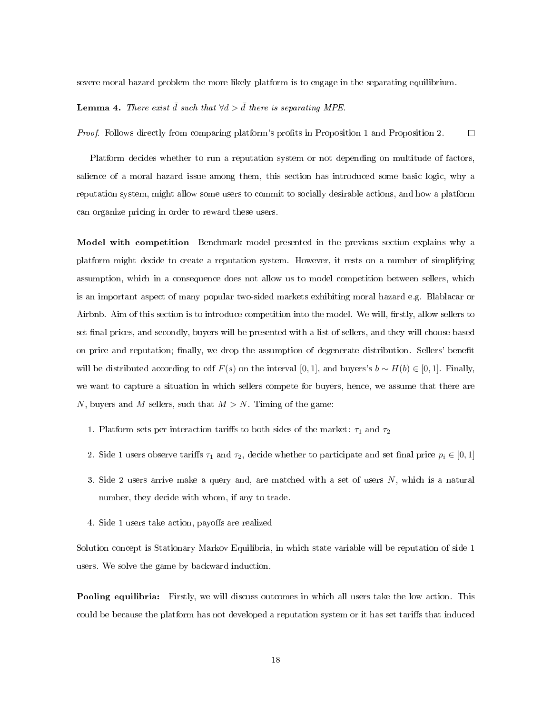severe moral hazard problem the more likely platform is to engage in the separating equilibrium.

#### **Lemma 4.** There exist  $\bar{d}$  such that  $\forall d > \bar{d}$  there is separating MPE.

Proof. Follows directly from comparing platform's prots in Proposition 1 and Proposition 2.  $\Box$ 

Platform decides whether to run a reputation system or not depending on multitude of factors, salience of a moral hazard issue among them, this section has introduced some basic logic, why a reputation system, might allow some users to commit to socially desirable actions, and how a platform can organize pricing in order to reward these users.

Model with competition Benchmark model presented in the previous section explains why a platform might decide to create a reputation system. However, it rests on a number of simplifying assumption, which in a consequence does not allow us to model competition between sellers, which is an important aspect of many popular two-sided markets exhibiting moral hazard e.g. Blablacar or Airbnb. Aim of this section is to introduce competition into the model. We will, firstly, allow sellers to set final prices, and secondly, buyers will be presented with a list of sellers, and they will choose based on price and reputation; finally, we drop the assumption of degenerate distribution. Sellers' benefit will be distributed according to cdf  $F(s)$  on the interval [0, 1], and buyers's  $b \sim H(b) \in [0, 1]$ . Finally, we want to capture a situation in which sellers compete for buyers, hence, we assume that there are N, buyers and M sellers, such that  $M > N$ . Timing of the game:

- 1. Platform sets per interaction tariffs to both sides of the market:  $\tau_1$  and  $\tau_2$
- 2. Side 1 users observe tariffs  $\tau_1$  and  $\tau_2$ , decide whether to participate and set final price  $p_i \in [0,1]$
- 3. Side 2 users arrive make a query and, are matched with a set of users N, which is a natural number, they decide with whom, if any to trade.
- 4. Side 1 users take action, payoffs are realized

Solution concept is Stationary Markov Equilibria, in which state variable will be reputation of side 1 users. We solve the game by backward induction.

**Pooling equilibria:** Firstly, we will discuss outcomes in which all users take the low action. This could be because the platform has not developed a reputation system or it has set tariffs that induced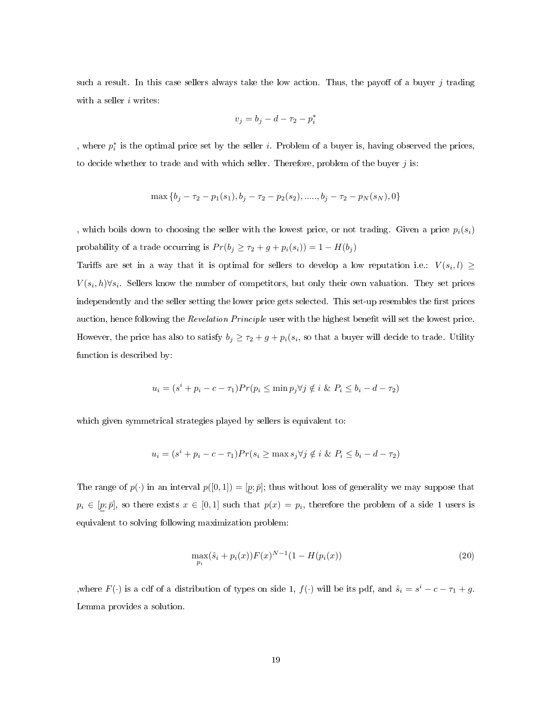such a result. In this case sellers always take the low action. Thus, the payoff of a buyer  $j$  trading with a seller  $i$  writes:

$$
v_j = b_j - d - \tau_2 - p_i^*
$$

, where  $p_i^*$  is the optimal price set by the seller *i*. Problem of a buyer is, having observed the prices, to decide whether to trade and with which seller. Therefore, problem of the buyer  $j$  is:

$$
\max\{b_j-\tau_2-p_1(s_1),b_j-\tau_2-p_2(s_2),.....,b_j-\tau_2-p_N(s_N),0\}
$$

, which boils down to choosing the seller with the lowest price, or not trading. Given a price  $p_i(s_i)$ probability of a trade occurring is  $Pr(b_j \geq \tau_2 + g + p_i(s_i)) = 1 - H(b_j)$ 

Tariffs are set in a way that it is optimal for sellers to develop a low reputation i.e.:  $V(s_i, l) \geq$  $V(s_i, h) \forall s_i$ . Sellers know the number of competitors, but only their own valuation. They set prices independently and the seller setting the lower price gets selected. This set-up resembles the first prices auction, hence following the Revelation Principle user with the highest benefit will set the lowest price. However, the price has also to satisfy  $b_j \geq \tau_2 + g + p_i(s_i)$ , so that a buyer will decide to trade. Utility function is described by:

$$
u_i = (s^i + p_i - c - \tau_1)Pr(p_i \le \min p_j \forall j \notin i \& P_i \le b_i - d - \tau_2)
$$

which given symmetrical strategies played by sellers is equivalent to:

$$
u_i = (s^i + p_i - c - \tau_1)Pr(s_i \ge \max s_j \forall j \notin i \& P_i \le b_i - d - \tau_2)
$$

The range of  $p(\cdot)$  in an interval  $p([0, 1]) = [p; \bar{p}]$ ; thus without loss of generality we may suppose that  $p_i \in [p; \bar{p}],$  so there exists  $x \in [0, 1]$  such that  $p(x) = p_i$ , therefore the problem of a side 1 users is equivalent to solving following maximization problem:

$$
\max_{p_i} (\hat{s}_i + p_i(x)) F(x)^{N-1} (1 - H(p_i(x)) \tag{20}
$$

,where  $F(\cdot)$  is a cdf of a distribution of types on side 1,  $f(\cdot)$  will be its pdf, and  $\hat{s}_i = s^i - c - \tau_1 + g$ . Lemma provides a solution.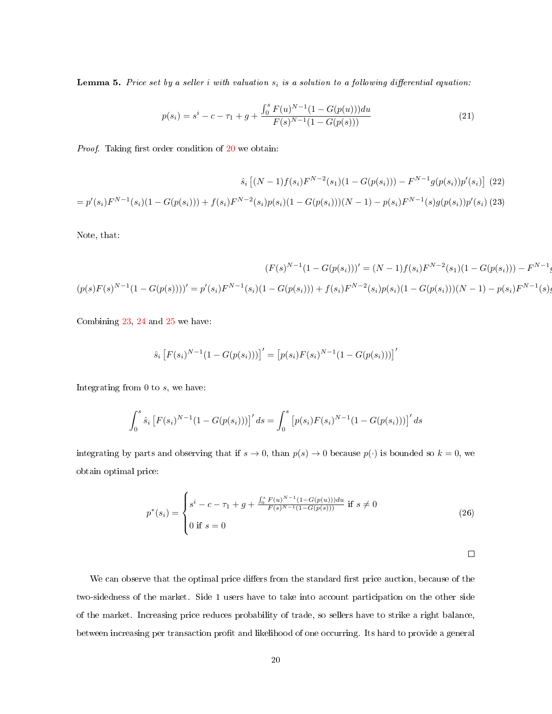**Lemma 5.** Price set by a seller i with valuation  $s_i$  is a solution to a following differential equation:

<span id="page-19-2"></span><span id="page-19-0"></span>
$$
p(s_i) = s^i - c - \tau_1 + g + \frac{\int_0^s F(u)^{N-1} (1 - G(p(u))) du}{F(s)^{N-1} (1 - G(p(s)))}
$$
\n(21)

*Proof.* Taking first order condition of  $20$  we obtain:

$$
\hat{s}_i \left[ (N-1) f(s_i) F^{N-2}(s_1) (1 - G(p(s_i))) - F^{N-1} g(p(s_i)) p'(s_i) \right] (22)
$$
  
=  $p'(s_i) F^{N-1}(s_i) (1 - G(p(s_i))) + f(s_i) F^{N-2}(s_i) p(s_i) (1 - G(p(s_i)))(N-1) - p(s_i) F^{N-1}(s) g(p(s_i)) p'(s_i) (23)$ 

Note, that:

$$
(F(s)^{N-1}(1 - G(p(s_1)))' = (N-1)f(s_i)F^{N-2}(s_1)(1 - G(p(s_1))) - F^{N-1}(s_1)(1 - G(p(s_1)))' = p'(s_i)F^{N-1}(s_i)(1 - G(p(s_1))) + f(s_i)F^{N-2}(s_i)p(s_i)(1 - G(p(s_i)))(N-1) - p(s_i)F^{N-1}(s_i)(1 - G(p(s_1)))' = p'(s_i)F^{N-1}(s_i)(1 - G(p(s_i))) + f(s_i)F^{N-2}(s_i)p(s_i)(1 - G(p(s_i)))
$$

Combining [23](#page-19-0), [24](#page-19-1) and [25](#page-19-1) we have:

<span id="page-19-1"></span>
$$
\hat{s}_i \left[ F(s_i)^{N-1} (1 - G(p(s_i))) \right]' = \left[ p(s_i) F(s_i)^{N-1} (1 - G(p(s_i))) \right]'
$$

Integrating from 0 to s, we have:

$$
\int_0^s \hat{s}_i \left[ F(s_i)^{N-1} (1 - G(p(s_i))) \right]' ds = \int_0^s \left[ p(s_i) F(s_i)^{N-1} (1 - G(p(s_i))) \right]' ds
$$

integrating by parts and observing that if  $s \to 0$ , than  $p(s) \to 0$  because  $p(\cdot)$  is bounded so  $k = 0$ , we obtain optimal price:

$$
p^*(s_i) = \begin{cases} s^i - c - \tau_1 + g + \frac{\int_0^s F(u)^{N-1} (1 - G(p(u))) du}{F(s)^{N-1} (1 - G(p(s)))} & \text{if } s \neq 0\\ 0 & \text{if } s = 0 \end{cases}
$$
(26)

 $\Box$ 

g(p(si))p

We can observe that the optimal price differs from the standard first price auction, because of the two-sidedness of the market. Side 1 users have to take into account participation on the other side of the market. Increasing price reduces probability of trade, so sellers have to strike a right balance, between increasing per transaction profit and likelihood of one occurring. Its hard to provide a general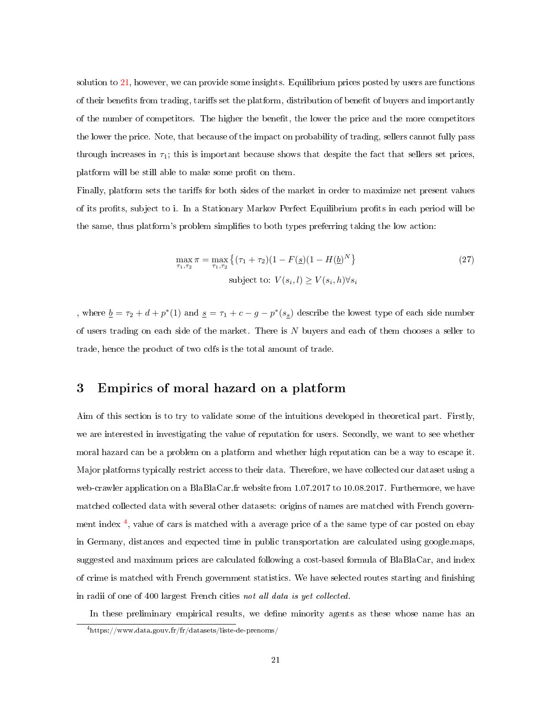solution to [21](#page-19-2), however, we can provide some insights. Equilibrium prices posted by users are functions of their benefits from trading, tariffs set the platform, distribution of benefit of buyers and importantly of the number of competitors. The higher the benet, the lower the price and the more competitors the lower the price. Note, that because of the impact on probability of trading, sellers cannot fully pass through increases in  $\tau_1$ ; this is important because shows that despite the fact that sellers set prices, platform will be still able to make some profit on them.

Finally, platform sets the tariffs for both sides of the market in order to maximize net present values of its prots, subject to i. In a Stationary Markov Perfect Equilibrium prots in each period will be the same, thus platform's problem simplies to both types preferring taking the low action:

$$
\max_{\tau_1, \tau_2} \pi = \max_{\tau_1, \tau_2} \left\{ (\tau_1 + \tau_2)(1 - F(\underline{s})(1 - H(\underline{b})^N) \right\}
$$
\nsubject to:

\n
$$
V(s_i, l) \geq V(s_i, h) \forall s_i
$$
\n(27)

, where  $\underline{b} = \tau_2 + d + p^*(1)$  and  $\underline{s} = \tau_1 + c - g - p^*(s_{\underline{s}})$  describe the lowest type of each side number of users trading on each side of the market. There is  $N$  buyers and each of them chooses a seller to trade, hence the product of two cdfs is the total amount of trade.

# 3 Empirics of moral hazard on a platform

Aim of this section is to try to validate some of the intuitions developed in theoretical part. Firstly, we are interested in investigating the value of reputation for users. Secondly, we want to see whether moral hazard can be a problem on a platform and whether high reputation can be a way to escape it. Major platforms typically restrict access to their data. Therefore, we have collected our dataset using a web-crawler application on a BlaBlaCar.fr website from 1.07.2017 to 10.08.2017. Furthermore, we have matched collected data with several other datasets: origins of names are matched with French govern-ment index<sup>[4](#page-20-0)</sup>, value of cars is matched with a average price of a the same type of car posted on ebay in Germany, distances and expected time in public transportation are calculated using google.maps, suggested and maximum prices are calculated following a cost-based formula of BlaBlaCar, and index of crime is matched with French government statistics. We have selected routes starting and nishing in radii of one of 400 largest French cities not all data is yet collected.

In these preliminary empirical results, we define minority agents as these whose name has an

<span id="page-20-0"></span><sup>4</sup>https://www.data.gouv.fr/fr/datasets/liste-de-prenoms/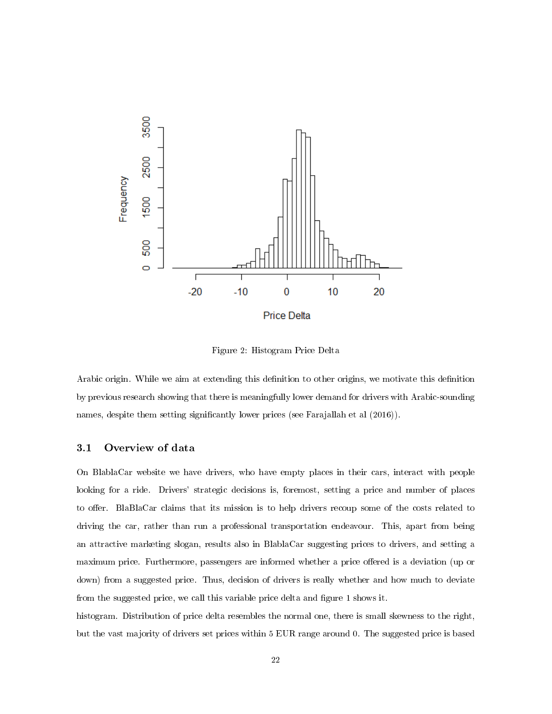

Figure 2: Histogram Price Delta

Arabic origin. While we aim at extending this definition to other origins, we motivate this definition by previous research showing that there is meaningfully lower demand for drivers with Arabic-sounding names, despite them setting significantly lower prices (see Farajallah et al  $(2016)$ ).

### 3.1 Overview of data

On BlablaCar website we have drivers, who have empty places in their cars, interact with people looking for a ride. Drivers' strategic decisions is, foremost, setting a price and number of places to offer. BlaBlaCar claims that its mission is to help drivers recoup some of the costs related to driving the car, rather than run a professional transportation endeavour. This, apart from being an attractive marketing slogan, results also in BlablaCar suggesting prices to drivers, and setting a maximum price. Furthermore, passengers are informed whether a price offered is a deviation (up or down) from a suggested price. Thus, decision of drivers is really whether and how much to deviate from the suggested price, we call this variable price delta and figure 1 shows it.

histogram. Distribution of price delta resembles the normal one, there is small skewness to the right, but the vast majority of drivers set prices within 5 EUR range around 0. The suggested price is based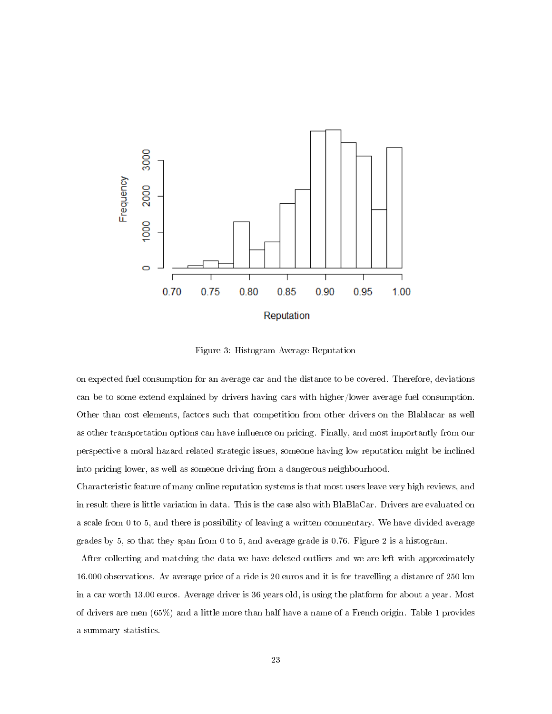

Figure 3: Histogram Average Reputation

on expected fuel consumption for an average car and the distance to be covered. Therefore, deviations can be to some extend explained by drivers having cars with higher/lower average fuel consumption. Other than cost elements, factors such that competition from other drivers on the Blablacar as well as other transportation options can have influence on pricing. Finally, and most importantly from our perspective a moral hazard related strategic issues, someone having low reputation might be inclined into pricing lower, as well as someone driving from a dangerous neighbourhood.

Characteristic feature of many online reputation systems is that most users leave very high reviews, and in result there is little variation in data. This is the case also with BlaBlaCar. Drivers are evaluated on a scale from 0 to 5, and there is possibility of leaving a written commentary. We have divided average grades by 5, so that they span from 0 to 5, and average grade is 0.76. Figure 2 is a histogram.

After collecting and matching the data we have deleted outliers and we are left with approximately 16.000 observations. Av average price of a ride is 20 euros and it is for travelling a distance of 250 km in a car worth 13.00 euros. Average driver is 36 years old, is using the platform for about a year. Most of drivers are men (65%) and a little more than half have a name of a French origin. Table 1 provides a summary statistics.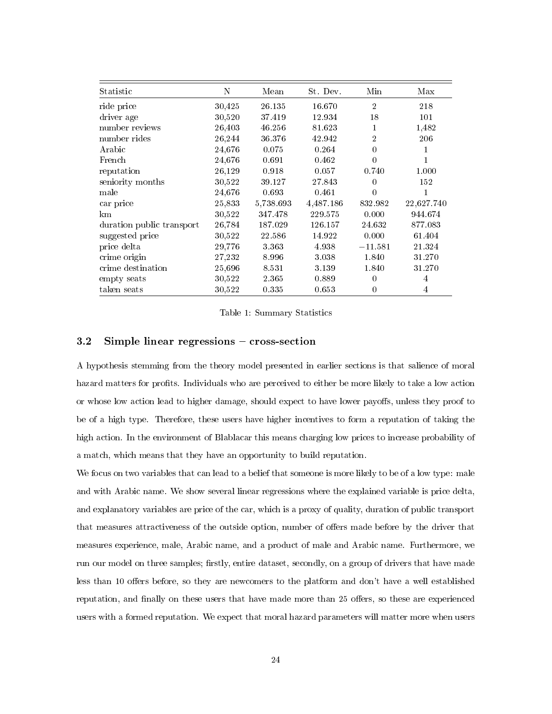| Statistic                 | N      | Mean      | St. Dev.  | Min            | Max        |
|---------------------------|--------|-----------|-----------|----------------|------------|
| ride price                | 30,425 | 26.135    | 16.670    | $\overline{2}$ | 218        |
| driver age                | 30,520 | 37.419    | 12 9 34   | 18             | 101        |
| number reviews            | 26,403 | 46 256    | 81.623    | 1              | 1,482      |
| number rides              | 26,244 | 36.376    | 42.942    | $\overline{2}$ | 206        |
| Arabic                    | 24,676 | 0.075     | 0.264     | $\Omega$       |            |
| French                    | 24,676 | 0.691     | 0.462     | $\Omega$       |            |
| reputation                | 26,129 | 0.918     | 0.057     | 0.740          | 1.000      |
| seniority months          | 30,522 | 39.127    | 27.843    | $\Omega$       | 152        |
| male                      | 24,676 | 0.693     | 0.461     | $\Omega$       |            |
| car price                 | 25,833 | 5,738.693 | 4,487.186 | 832.982        | 22,627.740 |
| km                        | 30,522 | 347.478   | 229.575   | 0.000          | 944.674    |
| duration public transport | 26,784 | 187.029   | 126.157   | 24.632         | 877.083    |
| suggested price           | 30,522 | 22.586    | 14.922    | 0.000          | 61.404     |
| price delta               | 29,776 | 3.363     | 4.938     | $-11.581$      | 21 324     |
| crime origin              | 27,232 | 8.996     | 3.038     | 1.840          | 31.270     |
| crime destination         | 25,696 | 8.531     | 3.139     | 1.840          | 31.270     |
| empty seats               | 30,522 | 2.365     | 0.889     | $\Omega$       | 4          |
| taken seats               | 30,522 | 0.335     | 0.653     | $\theta$       | 4          |

Table 1: Summary Statistics

#### $3.2$  Simple linear regressions  $-$  cross-section

A hypothesis stemming from the theory model presented in earlier sections is that salience of moral hazard matters for profits. Individuals who are perceived to either be more likely to take a low action or whose low action lead to higher damage, should expect to have lower payoffs, unless they proof to be of a high type. Therefore, these users have higher incentives to form a reputation of taking the high action. In the environment of Blablacar this means charging low prices to increase probability of a match, which means that they have an opportunity to build reputation.

We focus on two variables that can lead to a belief that someone is more likely to be of a low type: male and with Arabic name. We show several linear regressions where the explained variable is price delta, and explanatory variables are price of the car, which is a proxy of quality, duration of public transport that measures attractiveness of the outside option, number of offers made before by the driver that measures experience, male, Arabic name, and a product of male and Arabic name. Furthermore, we run our model on three samples; firstly, entire dataset, secondly, on a group of drivers that have made less than 10 offers before, so they are newcomers to the platform and don't have a well established reputation, and finally on these users that have made more than 25 offers, so these are experienced users with a formed reputation. We expect that moral hazard parameters will matter more when users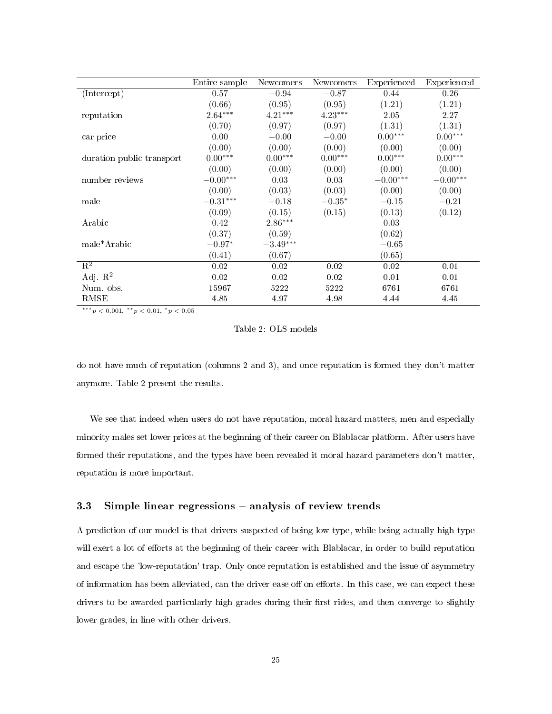|                           | Entire sample          | Newcomers  | Newcomers | Experienced | Experienced           |
|---------------------------|------------------------|------------|-----------|-------------|-----------------------|
| (Intercept)               | 0.57                   | $-0.94$    | $-0.87$   | 0.44        | 0.26                  |
|                           | (0.66)                 | (0.95)     | (0.95)    | (1.21)      | (1.21)                |
| reputation                | $2.64***$              | $4.21***$  | $4.23***$ | 2.05        | 2.27                  |
|                           | (0.70)                 | (0.97)     | (0.97)    | (1.31)      | (1.31)                |
| car price                 | 0.00                   | $-0.00$    | $-0.00$   | $0.00***$   | $0.00***$             |
|                           | (0.00)                 | (0.00)     | (0.00)    | (0.00)      | (0.00)                |
| duration public transport | $0.00***$              | $0.00***$  | $0.00***$ | $0.00***$   | $0.00^{\ast\ast\ast}$ |
|                           | (0.00)                 | (0.00)     | (0.00)    | (0.00)      | (0.00)                |
| number reviews            | $-0.00^{***}\,$        | 0.03       | 0.03      | $-0.00***$  | $-0.00***$            |
|                           | (0.00)                 | (0.03)     | (0.03)    | (0.00)      | (0.00)                |
| male                      | $-0.31^{\ast\ast\ast}$ | $-0.18$    | $-0.35*$  | $-0.15$     | $-0.21$               |
|                           | (0.09)                 | (0.15)     | (0.15)    | (0.13)      | (0.12)                |
| Arabic                    | 0.42                   | $2.86***$  |           | 0.03        |                       |
|                           | (0.37)                 | (0.59)     |           | (0.62)      |                       |
| male*Arabic               | $-0.97*$               | $-3.49***$ |           | $-0.65$     |                       |
|                           | (0.41)                 | (0.67)     |           | (0.65)      |                       |
| $\overline{\mathrm{R}^2}$ | 0.02                   | 0.02       | 0.02      | 0.02        | 0.01                  |
| Adj. $R^2$                | 0.02                   | 0.02       | 0.02      | 0.01        | 0.01                  |
| Num. obs.                 | 15967                  | 5222       | 5222      | 6761        | 6761                  |
| RMSE                      | 4.85                   | 4.97       | 4.98      | 4.44        | 4.45                  |

 $***p<sub>0.001</sub>, **p<sub>0.01</sub>, *p<sub>0.05</sub>$ 

Table 2: OLS models

do not have much of reputation (columns 2 and 3), and once reputation is formed they don't matter anymore. Table 2 present the results.

We see that indeed when users do not have reputation, moral hazard matters, men and especially minority males set lower prices at the beginning of their career on Blablacar platform. After users have formed their reputations, and the types have been revealed it moral hazard parameters don't matter, reputation is more important.

#### 3.3 Simple linear regressions – analysis of review trends

A prediction of our model is that drivers suspected of being low type, while being actually high type will exert a lot of efforts at the beginning of their career with Blablacar, in order to build reputation and escape the 'low-reputation' trap. Only once reputation is established and the issue of asymmetry of information has been alleviated, can the driver ease off on efforts. In this case, we can expect these drivers to be awarded particularly high grades during their first rides, and then converge to slightly lower grades, in line with other drivers.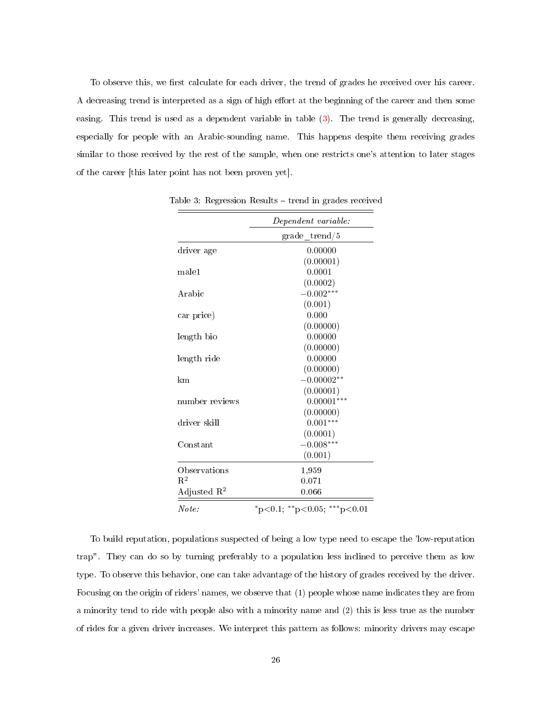To observe this, we first calculate for each driver, the trend of grades he received over his career. A decreasing trend is interpreted as a sign of high effort at the beginning of the career and then some easing. This trend is used as a dependent variable in table [\(3\)](#page-25-0). The trend is generally decreasing, especially for people with an Arabic-sounding name. This happens despite them receiving grades similar to those received by the rest of the sample, when one restricts one's attention to later stages of the career [this later point has not been proven yet].

<span id="page-25-0"></span>

|                         | Dependent variable:         |
|-------------------------|-----------------------------|
|                         | $\mathrm{grade}$ trend/5    |
| driver age              | 0.00000                     |
|                         | (0.00001)                   |
| male1                   | 0.0001                      |
|                         | (0.0002)                    |
| Arabic                  | $-0.002***$                 |
|                         | (0.001)                     |
| car price)              | 0.000                       |
|                         | (0.00000)                   |
| length bio              | 0.00000                     |
|                         | (0.00000)                   |
| length ride             | 0.00000                     |
|                         | (0.00000)                   |
| km                      | $-0.00002**$                |
|                         | (0.00001)                   |
| number reviews          | $0.00001***$                |
|                         | (0.00000)                   |
| driver skill            | $0.001***$                  |
|                         | (0.0001)                    |
| Constant                | $-0.008***$                 |
|                         | (0.001)                     |
| Observations            | $1{,}959$                   |
| $\mathrm{R}^2$          | 0.071                       |
| Adjusted $\mathbb{R}^2$ | 0.066                       |
| Note:                   | *p<0.1; **p<0.05; ***p<0.01 |

Table 3: Regression Results  $-$  trend in grades received

To build reputation, populations suspected of being a low type need to escape the 'low-reputation trap". They can do so by turning preferably to a population less inclined to perceive them as low type. To observe this behavior, one can take advantage of the history of grades received by the driver. Focusing on the origin of riders' names, we observe that (1) people whose name indicates they are from a minority tend to ride with people also with a minority name and (2) this is less true as the number of rides for a given driver increases. We interpret this pattern as follows: minority drivers may escape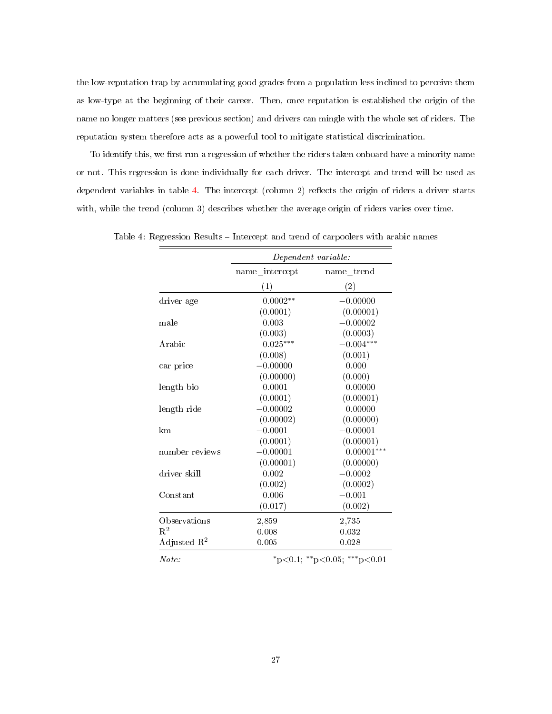the low-reputation trap by accumulating good grades from a population less inclined to perceive them as low-type at the beginning of their career. Then, once reputation is established the origin of the name no longer matters (see previous section) and drivers can mingle with the whole set of riders. The reputation system therefore acts as a powerful tool to mitigate statistical discrimination.

To identify this, we first run a regression of whether the riders taken onboard have a minority name or not. This regression is done individually for each driver. The intercept and trend will be used as dependent variables in table [4.](#page-26-0) The intercept (column 2) reflects the origin of riders a driver starts with, while the trend (column 3) describes whether the average origin of riders varies over time.

<span id="page-26-0"></span>

|                         | Dependent variable: |                             |  |
|-------------------------|---------------------|-----------------------------|--|
|                         | name intercept      | name trend                  |  |
|                         | (1)                 | (2)                         |  |
| driver age              | $0.0002**$          | $-0.00000$                  |  |
|                         | (0.0001)            | (0.00001)                   |  |
| male                    | 0.003               | $-0.00002$                  |  |
|                         | (0.003)             | (0.0003)                    |  |
| Arabic                  | $0.025***$          | $-0.004***$                 |  |
|                         | (0.008)             | (0.001)                     |  |
| car price               | $-0.00000$          | 0.000                       |  |
|                         | (0.00000)           | (0.000)                     |  |
| length bio              | 0.0001              | 0.00000                     |  |
|                         | (0.0001)            | (0.00001)                   |  |
| length ride             | $-0.00002$          | 0.00000                     |  |
|                         | (0.00002)           | (0.00000)                   |  |
| km                      | $-0.0001$           | $-0.00001$                  |  |
|                         | (0.0001)            | (0.00001)                   |  |
| number reviews          | $-0.00001$          | $0.00001***$                |  |
|                         | (0.00001)           | (0.00000)                   |  |
| driver skill            | 0.002               | $-0.0002$                   |  |
|                         | (0.002)             | (0.0002)                    |  |
| Constant                | 0.006               | $-0.001$                    |  |
|                         | (0.017)             | (0.002)                     |  |
| Observations            | 2,859               | 2,735                       |  |
| $\mathrm{R}^2$          | 0.008               | 0.032                       |  |
| Adjusted $\mathbb{R}^2$ | 0.005               | 0.028                       |  |
| Note:                   |                     | *p<0.1; **p<0.05; ***p<0.01 |  |

Table 4: Regression Results – Intercept and trend of carpoolers with arabic names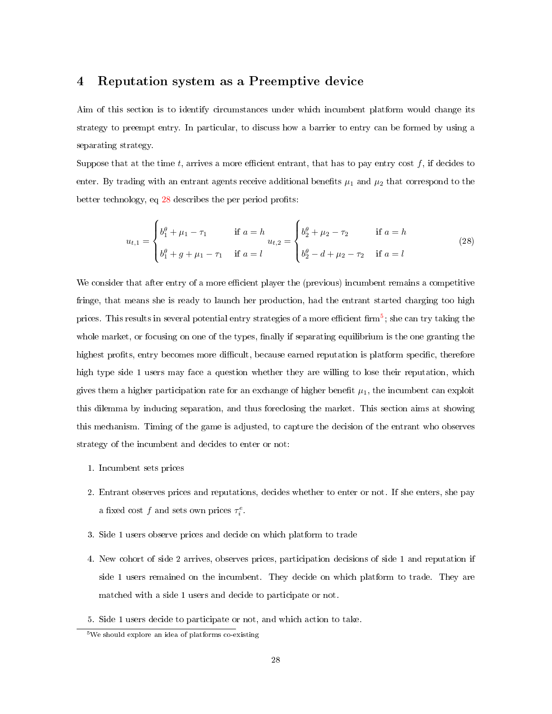# 4 Reputation system as a Preemptive device

Aim of this section is to identify circumstances under which incumbent platform would change its strategy to preempt entry. In particular, to discuss how a barrier to entry can be formed by using a separating strategy.

Suppose that at the time t, arrives a more efficient entrant, that has to pay entry cost  $f$ , if decides to enter. By trading with an entrant agents receive additional benefits  $\mu_1$  and  $\mu_2$  that correspond to the better technology, eq  $28$  describes the per period profits:

<span id="page-27-0"></span>
$$
u_{t,1} = \begin{cases} b_1^{\theta} + \mu_1 - \tau_1 & \text{if } a = h \\ b_1^{\theta} + g + \mu_1 - \tau_1 & \text{if } a = l \end{cases} u_{t,2} = \begin{cases} b_2^{\theta} + \mu_2 - \tau_2 & \text{if } a = h \\ b_2^{\theta} - d + \mu_2 - \tau_2 & \text{if } a = l \end{cases}
$$
(28)

We consider that after entry of a more efficient player the (previous) incumbent remains a competitive fringe, that means she is ready to launch her production, had the entrant started charging too high prices. This results in several potential entry strategies of a more efficient firm<sup>[5](#page-27-1)</sup>; she can try taking the whole market, or focusing on one of the types, finally if separating equilibrium is the one granting the highest profits, entry becomes more difficult, because earned reputation is platform specific, therefore high type side 1 users may face a question whether they are willing to lose their reputation, which gives them a higher participation rate for an exchange of higher benefit  $\mu_1$ , the incumbent can exploit this dilemma by inducing separation, and thus foreclosing the market. This section aims at showing this mechanism. Timing of the game is adjusted, to capture the decision of the entrant who observes strategy of the incumbent and decides to enter or not:

- 1. Incumbent sets prices
- 2. Entrant observes prices and reputations, decides whether to enter or not. If she enters, she pay a fixed cost f and sets own prices  $\tau_i^e$ .
- 3. Side 1 users observe prices and decide on which platform to trade
- 4. New cohort of side 2 arrives, observes prices, participation decisions of side 1 and reputation if side 1 users remained on the incumbent. They decide on which platform to trade. They are matched with a side 1 users and decide to participate or not.
- 5. Side 1 users decide to participate or not, and which action to take.

<span id="page-27-1"></span><sup>5</sup>We should explore an idea of platforms co-existing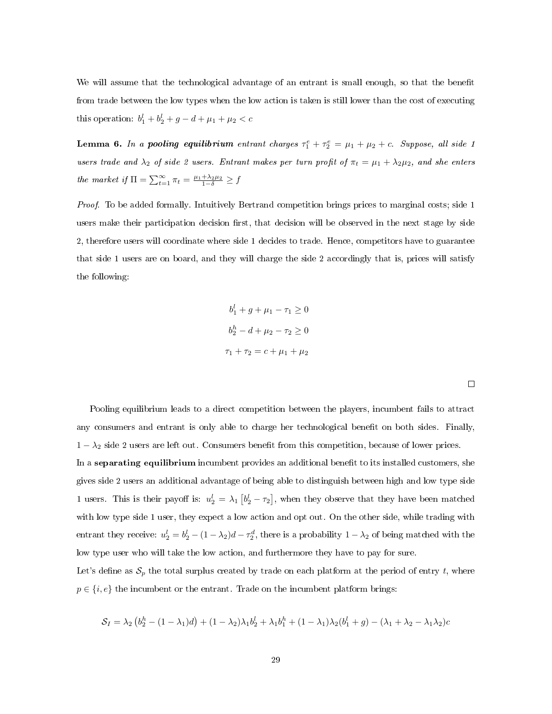We will assume that the technological advantage of an entrant is small enough, so that the benefit from trade between the low types when the low action is taken is still lower than the cost of executing this operation:  $b_1^l + b_2^l + g - d + \mu_1 + \mu_2 < c$ 

**Lemma 6.** In a pooling equilibrium entrant charges  $\tau_1^e + \tau_2^e = \mu_1 + \mu_2 + c$ . Suppose, all side 1 users trade and  $\lambda_2$  of side 2 users. Entrant makes per turn profit of  $\pi_t = \mu_1 + \lambda_2 \mu_2$ , and she enters the market if  $\Pi = \sum_{t=1}^{\infty} \pi_t = \frac{\mu_1 + \lambda_2 \mu_2}{1 - \delta} \ge f$ 

Proof. To be added formally. Intuitively Bertrand competition brings prices to marginal costs; side 1 users make their participation decision first, that decision will be observed in the next stage by side 2, therefore users will coordinate where side 1 decides to trade. Hence, competitors have to guarantee that side 1 users are on board, and they will charge the side 2 accordingly that is, prices will satisfy the following:

$$
b_1^l + g + \mu_1 - \tau_1 \ge 0
$$
  

$$
b_2^h - d + \mu_2 - \tau_2 \ge 0
$$
  

$$
\tau_1 + \tau_2 = c + \mu_1 + \mu_2
$$

Pooling equilibrium leads to a direct competition between the players, incumbent fails to attract any consumers and entrant is only able to charge her technological benefit on both sides. Finally,  $1 - \lambda_2$  side 2 users are left out. Consumers benefit from this competition, because of lower prices. In a separating equilibrium incumbent provides an additional benefit to its installed customers, she gives side 2 users an additional advantage of being able to distinguish between high and low type side 1 users. This is their payoff is:  $u_2^l = \lambda_1 \left[ b_2^l - \tau_2 \right]$ , when they observe that they have been matched with low type side 1 user, they expect a low action and opt out. On the other side, while trading with entrant they receive:  $u_2^l = b_2^l - (1 - \lambda_2)d - \tau_2^d$ , there is a probability  $1 - \lambda_2$  of being matched with the low type user who will take the low action, and furthermore they have to pay for sure. Let's define as  $S_p$  the total surplus created by trade on each platform at the period of entry t, where  $p \in \{i, e\}$  the incumbent or the entrant. Trade on the incumbent platform brings:

$$
S_I = \lambda_2 (b_2^h - (1 - \lambda_1)d) + (1 - \lambda_2)\lambda_1 b_2^l + \lambda_1 b_1^h + (1 - \lambda_1)\lambda_2(b_1^l + g) - (\lambda_1 + \lambda_2 - \lambda_1\lambda_2)c
$$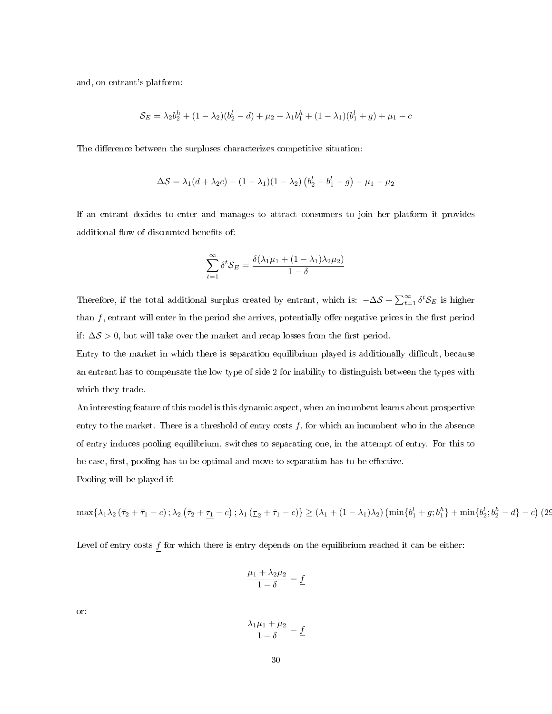and, on entrant's platform:

$$
S_E = \lambda_2 b_2^h + (1 - \lambda_2)(b_2^l - d) + \mu_2 + \lambda_1 b_1^h + (1 - \lambda_1)(b_1^l + g) + \mu_1 - c
$$

The difference between the surpluses characterizes competitive situation:

$$
\Delta S = \lambda_1 (d + \lambda_2 c) - (1 - \lambda_1)(1 - \lambda_2) (b_2^l - b_1^l - g) - \mu_1 - \mu_2
$$

If an entrant decides to enter and manages to attract consumers to join her platform it provides additional flow of discounted benefits of:

$$
\sum_{t=1}^{\infty} \delta^t \mathcal{S}_E = \frac{\delta(\lambda_1 \mu_1 + (1 - \lambda_1)\lambda_2 \mu_2)}{1 - \delta}
$$

Therefore, if the total additional surplus created by entrant, which is:  $-\Delta S + \sum_{t=1}^{\infty} \delta^t S_E$  is higher than  $f$ , entrant will enter in the period she arrives, potentially offer negative prices in the first period if:  $\Delta S > 0$ , but will take over the market and recap losses from the first period.

Entry to the market in which there is separation equilibrium played is additionally difficult, because an entrant has to compensate the low type of side 2 for inability to distinguish between the types with which they trade.

An interesting feature of this model is this dynamic aspect, when an incumbent learns about prospective entry to the market. There is a threshold of entry costs  $f$ , for which an incumbent who in the absence of entry induces pooling equilibrium, switches to separating one, in the attempt of entry. For this to be case, first, pooling has to be optimal and move to separation has to be effective.

Pooling will be played if:

$$
\max\{\lambda_1\lambda_2(\bar{\tau}_2+\bar{\tau}_1-c)\,;\lambda_2(\bar{\tau}_2+\underline{\tau}_1-c)\,;\lambda_1(\underline{\tau}_2+\bar{\tau}_1-c)\}\geq (\lambda_1+(1-\lambda_1)\lambda_2)\left(\min\{b_1^l+g;b_1^h\}+\min\{b_2^l;b_2^h-d\}-c\right)\left(2\mathcal{Q}_1^h+g\,;\lambda_1\right)
$$

Level of entry costs  $\underline{f}$  for which there is entry depends on the equilibrium reached it can be either:

$$
\frac{\mu_1+\lambda_2\mu_2}{1-\delta}=\underline{f}
$$

or:

$$
\frac{\lambda_1 \mu_1 + \mu_2}{1 - \delta} = \underline{f}
$$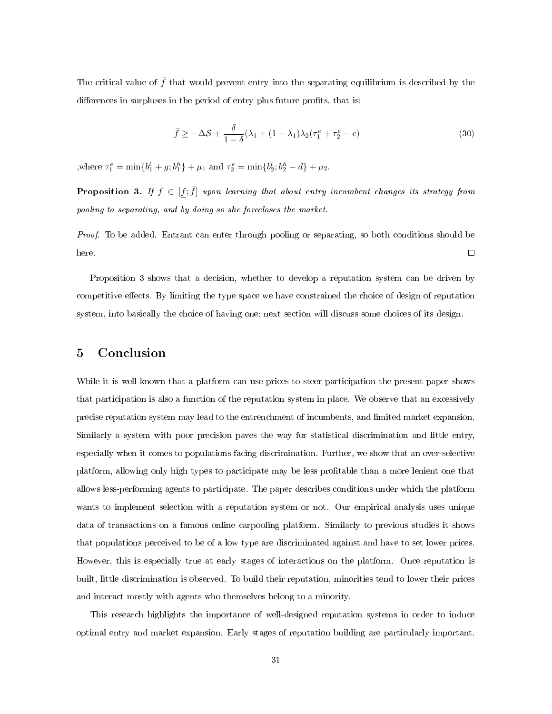The critical value of  $\bar{f}$  that would prevent entry into the separating equilibrium is described by the differences in surpluses in the period of entry plus future profits, that is:

$$
\bar{f} \ge -\Delta S + \frac{\delta}{1-\delta}(\lambda_1 + (1-\lambda_1)\lambda_2(\tau_1^e + \tau_2^e - c) \tag{30}
$$

where  $\tau_1^e = \min\{b_1^l + g; b_1^h\} + \mu_1$  and  $\tau_2^e = \min\{b_2^l; b_2^h - d\} + \mu_2$ .

**Proposition 3.** If  $f \in [f, \bar{f}]$  upon learning that about entry incumbent changes its strategy from pooling to separating, and by doing so she forecloses the market.

Proof. To be added. Entrant can enter through pooling or separating, so both conditions should be here.  $\Box$ 

Proposition 3 shows that a decision, whether to develop a reputation system can be driven by competitive effects. By limiting the type space we have constrained the choice of design of reputation system, into basically the choice of having one; next section will discuss some choices of its design.

## 5 Conclusion

While it is well-known that a platform can use prices to steer participation the present paper shows that participation is also a function of the reputation system in place. We observe that an excessively precise reputation system may lead to the entrenchment of incumbents, and limited market expansion. Similarly a system with poor precision paves the way for statistical discrimination and little entry, especially when it comes to populations facing discrimination. Further, we show that an over-selective platform, allowing only high types to participate may be less protable than a more lenient one that allows less-performing agents to participate. The paper describes conditions under which the platform wants to implement selection with a reputation system or not. Our empirical analysis uses unique data of transactions on a famous online carpooling platform. Similarly to previous studies it shows that populations perceived to be of a low type are discriminated against and have to set lower prices. However, this is especially true at early stages of interactions on the platform. Once reputation is built, little discrimination is observed. To build their reputation, minorities tend to lower their prices and interact mostly with agents who themselves belong to a minority.

This research highlights the importance of well-designed reputation systems in order to induce optimal entry and market expansion. Early stages of reputation building are particularly important.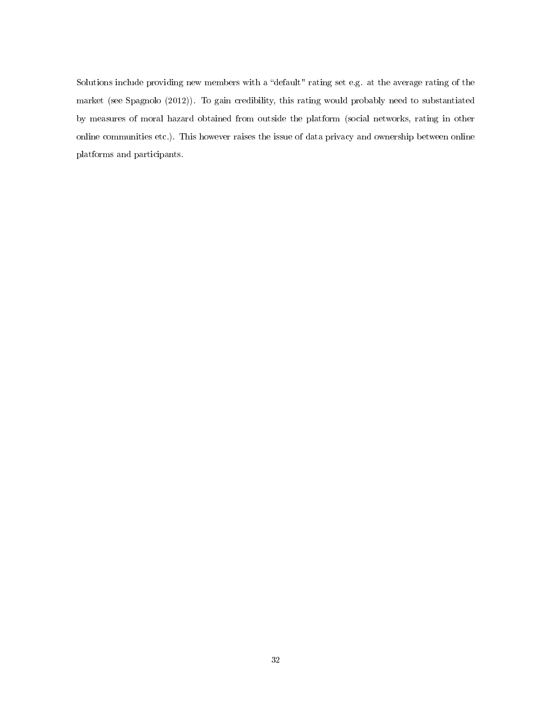Solutions include providing new members with a "default" rating set e.g. at the average rating of the market (see [Spagnolo](#page-33-9) [\(2012\)](#page-33-9)). To gain credibility, this rating would probably need to substantiated by measures of moral hazard obtained from outside the platform (social networks, rating in other online communities etc.). This however raises the issue of data privacy and ownership between online platforms and participants.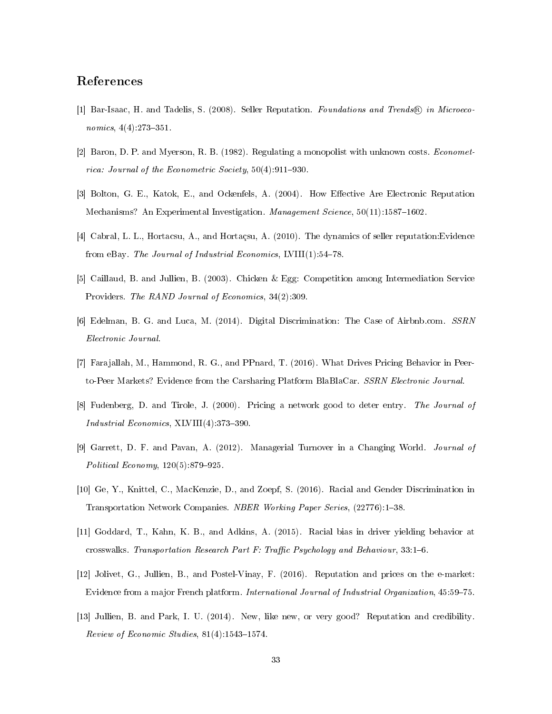## References

- <span id="page-32-6"></span>[1] Bar-Isaac, H. and Tadelis, S. (2008). Seller Reputation. Foundations and Trends® in Microeconomics,  $4(4)$ :273-351.
- <span id="page-32-3"></span>[2] Baron, D. P. and Myerson, R. B. (1982). Regulating a monopolist with unknown costs. Econometrica: Journal of the Econometric Society,  $50(4):911-930$ .
- <span id="page-32-8"></span>[3] Bolton, G. E., Katok, E., and Ockenfels, A. (2004). How Effective Are Electronic Reputation Mechanisms? An Experimental Investigation. Management Science, 50(11):1587-1602.
- <span id="page-32-5"></span>[4] Cabral, L. L., Hortacsu, A., and Hortaçsu, A. (2010). The dynamics of seller reputation:Evidence from eBay. The Journal of Industrial Economics, LVIII $(1)$ :54-78.
- <span id="page-32-1"></span>[5] Caillaud, B. and Jullien, B. (2003). Chicken & Egg: Competition among Intermediation Service Providers. The RAND Journal of Economics, 34(2):309.
- <span id="page-32-0"></span>[6] Edelman, B. G. and Luca, M. (2014). Digital Discrimination: The Case of Airbnb.com. SSRN Electronic Journal.
- <span id="page-32-12"></span>[7] Farajallah, M., Hammond, R. G., and PPnard, T. (2016). What Drives Pricing Behavior in Peerto-Peer Markets? Evidence from the Carsharing Platform BlaBlaCar. SSRN Electronic Journal.
- <span id="page-32-2"></span>[8] Fudenberg, D. and Tirole, J. (2000). Pricing a network good to deter entry. The Journal of Industrial Economics,  $XLVIII(4)$ :373-390.
- <span id="page-32-4"></span>[9] Garrett, D. F. and Pavan, A. (2012). Managerial Turnover in a Changing World. Journal of Political Economy,  $120(5)$ :879-925.
- <span id="page-32-11"></span>[10] Ge, Y., Knittel, C., MacKenzie, D., and Zoepf, S. (2016). Racial and Gender Discrimination in Transportation Network Companies. NBER Working Paper Series, (22776):1-38.
- <span id="page-32-10"></span>[11] Goddard, T., Kahn, K. B., and Adkins, A. (2015). Racial bias in driver yielding behavior at crosswalks. Transportation Research Part F: Traffic Psychology and Behaviour,  $33:1-6$ .
- <span id="page-32-7"></span>[12] Jolivet, G., Jullien, B., and Postel-Vinay, F. (2016). Reputation and prices on the e-market: Evidence from a major French platform. International Journal of Industrial Organization, 45:59–75.
- <span id="page-32-9"></span>[13] Jullien, B. and Park, I. U. (2014). New, like new, or very good? Reputation and credibility. Review of Economic Studies,  $81(4)$ :1543-1574.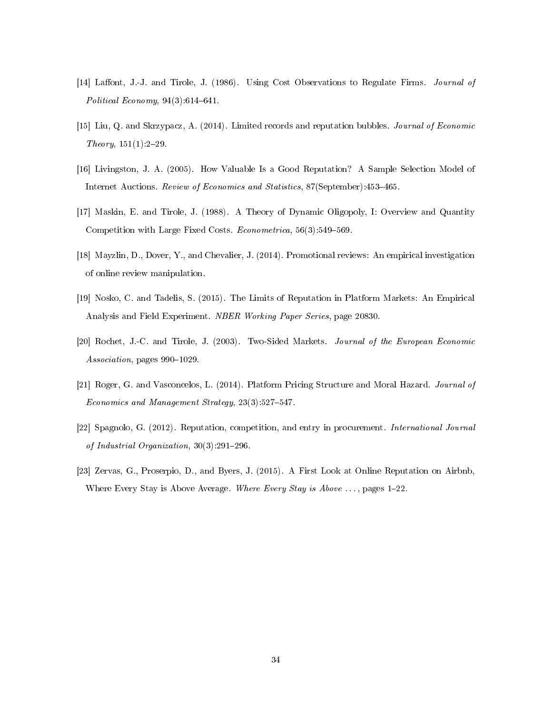- <span id="page-33-3"></span>[14] Laffont, J.-J. and Tirole, J. (1986). Using Cost Observations to Regulate Firms. Journal of Political Economy,  $94(3):614-641$ .
- <span id="page-33-5"></span>[15] Liu, Q. and Skrzypacz, A. (2014). Limited records and reputation bubbles. Journal of Economic  $Theory, 151(1):2-29.$
- <span id="page-33-6"></span>[16] Livingston, J. A. (2005). How Valuable Is a Good Reputation? A Sample Selection Model of Internet Auctions. Review of Economics and Statistics, 87(September):453-465.
- <span id="page-33-2"></span>[17] Maskin, E. and Tirole, J. (1988). A Theory of Dynamic Oligopoly, I: Overview and Quantity Competition with Large Fixed Costs. *Econometrica*,  $56(3):549-569$ .
- <span id="page-33-7"></span>[18] Mayzlin, D., Dover, Y., and Chevalier, J. (2014). Promotional reviews: An empirical investigation of online review manipulation.
- <span id="page-33-4"></span>[19] Nosko, C. and Tadelis, S. (2015). The Limits of Reputation in Platform Markets: An Empirical Analysis and Field Experiment. NBER Working Paper Series, page 20830.
- <span id="page-33-1"></span>[20] Rochet, J.-C. and Tirole, J. (2003). Two-Sided Markets. Journal of the European Economic Association, pages 990-1029.
- <span id="page-33-0"></span>[21] Roger, G. and Vasconcelos, L. (2014). Platform Pricing Structure and Moral Hazard. Journal of Economics and Management Strategy,  $23(3):527-547$ .
- <span id="page-33-9"></span>[22] Spagnolo, G. (2012). Reputation, competition, and entry in procurement. International Journal of Industrial Organization,  $30(3)$ :291-296.
- <span id="page-33-8"></span>[23] Zervas, G., Proserpio, D., and Byers, J. (2015). A First Look at Online Reputation on Airbnb, Where Every Stay is Above Average. Where Every Stay is Above  $\dots$ , pages 1–22.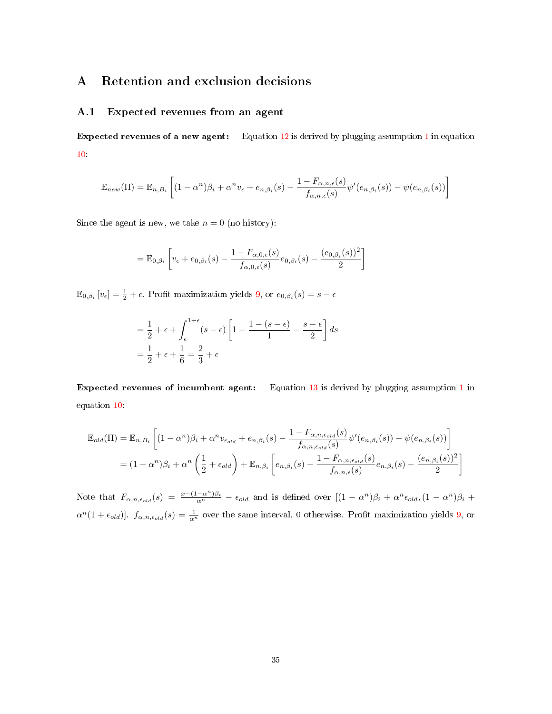# A Retention and exclusion decisions

#### <span id="page-34-0"></span>A.1 Expected revenues from an agent

Expected revenues of a new agent: Equation [12](#page-8-1) is derived by plugging assumption [1](#page-5-0) in equation [10:](#page-7-0)

$$
\mathbb{E}_{new}(\Pi) = \mathbb{E}_{n,B_i} \left[ (1 - \alpha^n) \beta_i + \alpha^n v_{\epsilon} + e_{n,\beta_i}(s) - \frac{1 - F_{\alpha,n,\epsilon}(s)}{f_{\alpha,n,\epsilon}(s)} \psi'(e_{n,\beta_i}(s)) - \psi(e_{n,\beta_i}(s)) \right]
$$

Since the agent is new, we take  $n = 0$  (no history):

$$
= \mathbb{E}_{0,\beta_i} \left[ v_{\epsilon} + e_{0,\beta_i}(s) - \frac{1 - F_{\alpha,0,\epsilon}(s)}{f_{\alpha,0,\epsilon}(s)} e_{0,\beta_i}(s) - \frac{(e_{0,\beta_i}(s))^2}{2} \right]
$$

 $\mathbb{E}_{0,\beta_i}\left[v_{\epsilon}\right] = \frac{1}{2} + \epsilon$ . Profit maximization yields [9,](#page-5-2) or  $e_{0,\beta_i}(s) = s - \epsilon$ 

$$
= \frac{1}{2} + \epsilon + \int_{\epsilon}^{1+\epsilon} (s-\epsilon) \left[ 1 - \frac{1 - (s-\epsilon)}{1} - \frac{s-\epsilon}{2} \right] ds
$$

$$
= \frac{1}{2} + \epsilon + \frac{1}{6} = \frac{2}{3} + \epsilon
$$

Expected revenues of incumbent agent: Equation [13](#page-8-2) is derived by plugging assumption [1](#page-5-0) in equation [10:](#page-7-0)

$$
\mathbb{E}_{old}(\Pi) = \mathbb{E}_{n,B_i} \left[ (1 - \alpha^n) \beta_i + \alpha^n v_{\epsilon_{old}} + e_{n,\beta_i}(s) - \frac{1 - F_{\alpha,n,\epsilon_{old}}(s)}{f_{\alpha,n,\epsilon_{old}}(s)} \psi'(e_{n,\beta_i}(s)) - \psi(e_{n,\beta_i}(s)) \right]
$$
  
=  $(1 - \alpha^n) \beta_i + \alpha^n \left( \frac{1}{2} + \epsilon_{old} \right) + \mathbb{E}_{n,\beta_i} \left[ e_{n,\beta_i}(s) - \frac{1 - F_{\alpha,n,\epsilon_{old}}(s)}{f_{\alpha,n,\epsilon}(s)} e_{n,\beta_i}(s) - \frac{(e_{n,\beta_i}(s))^2}{2} \right]$ 

Note that  $F_{\alpha,n,\epsilon_{old}}(s) = \frac{x-(1-\alpha^n)\beta_i}{\alpha^n} - \epsilon_{old}$  and is defined over  $[(1-\alpha^n)\beta_i + \alpha^n \epsilon_{old}, (1-\alpha^n)\beta_i +$  $\alpha^{n}(1+\epsilon_{old})$ .  $f_{\alpha,n,\epsilon_{old}}(s) = \frac{1}{\alpha^{n}}$  over the same interval, 0 otherwise. Profit maximization yields [9,](#page-5-2) or